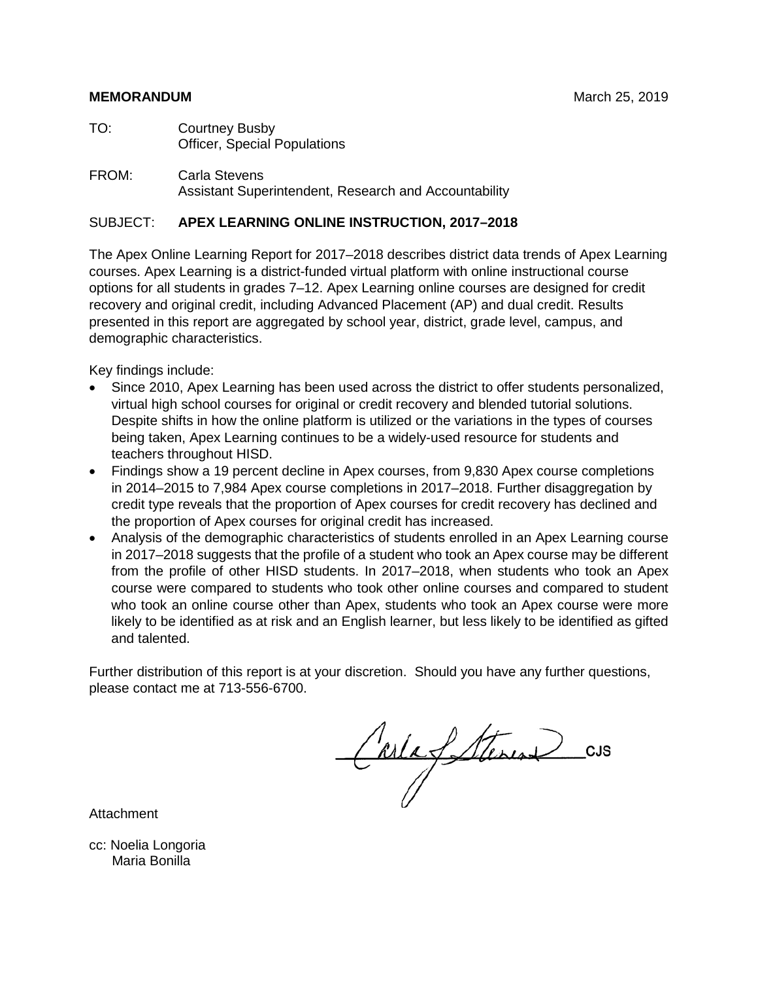#### **MEMORANDUM** March 25, 2019

- TO: Courtney Busby Officer, Special Populations
- FROM: Carla Stevens Assistant Superintendent, Research and Accountability

#### SUBJECT: **APEX LEARNING ONLINE INSTRUCTION, 2017–2018**

The Apex Online Learning Report for 2017–2018 describes district data trends of Apex Learning courses. Apex Learning is a district-funded virtual platform with online instructional course options for all students in grades 7–12. Apex Learning online courses are designed for credit recovery and original credit, including Advanced Placement (AP) and dual credit. Results presented in this report are aggregated by school year, district, grade level, campus, and demographic characteristics.

Key findings include:

- Since 2010, Apex Learning has been used across the district to offer students personalized, virtual high school courses for original or credit recovery and blended tutorial solutions. Despite shifts in how the online platform is utilized or the variations in the types of courses being taken, Apex Learning continues to be a widely-used resource for students and teachers throughout HISD.
- Findings show a 19 percent decline in Apex courses, from 9,830 Apex course completions in 2014–2015 to 7,984 Apex course completions in 2017–2018. Further disaggregation by credit type reveals that the proportion of Apex courses for credit recovery has declined and the proportion of Apex courses for original credit has increased.
- Analysis of the demographic characteristics of students enrolled in an Apex Learning course in 2017–2018 suggests that the profile of a student who took an Apex course may be different from the profile of other HISD students. In 2017–2018, when students who took an Apex course were compared to students who took other online courses and compared to student who took an online course other than Apex, students who took an Apex course were more likely to be identified as at risk and an English learner, but less likely to be identified as gifted and talented.

Further distribution of this report is at your discretion. Should you have any further questions, please contact me at 713-556-6700.

Carla fatterine CUS

Attachment

cc: Noelia Longoria Maria Bonilla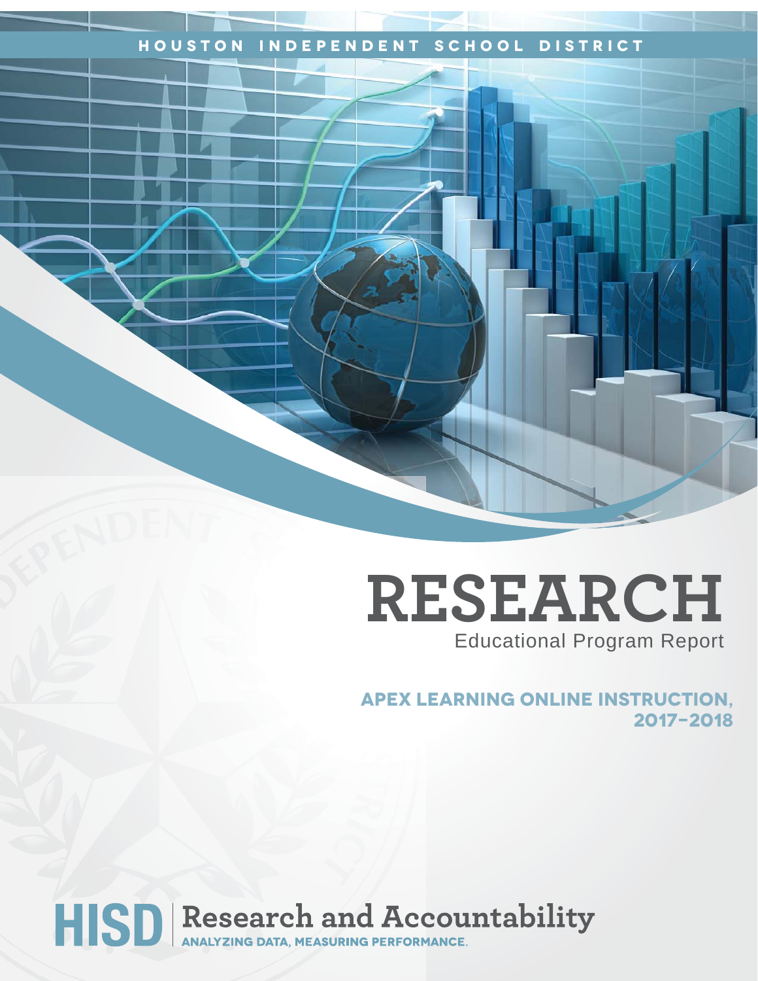## **Houston Independent School District**

## **RESEARCH** Educational Program Report

**apex learning online instruction, 2017-2018**

# HISD Research and Accountability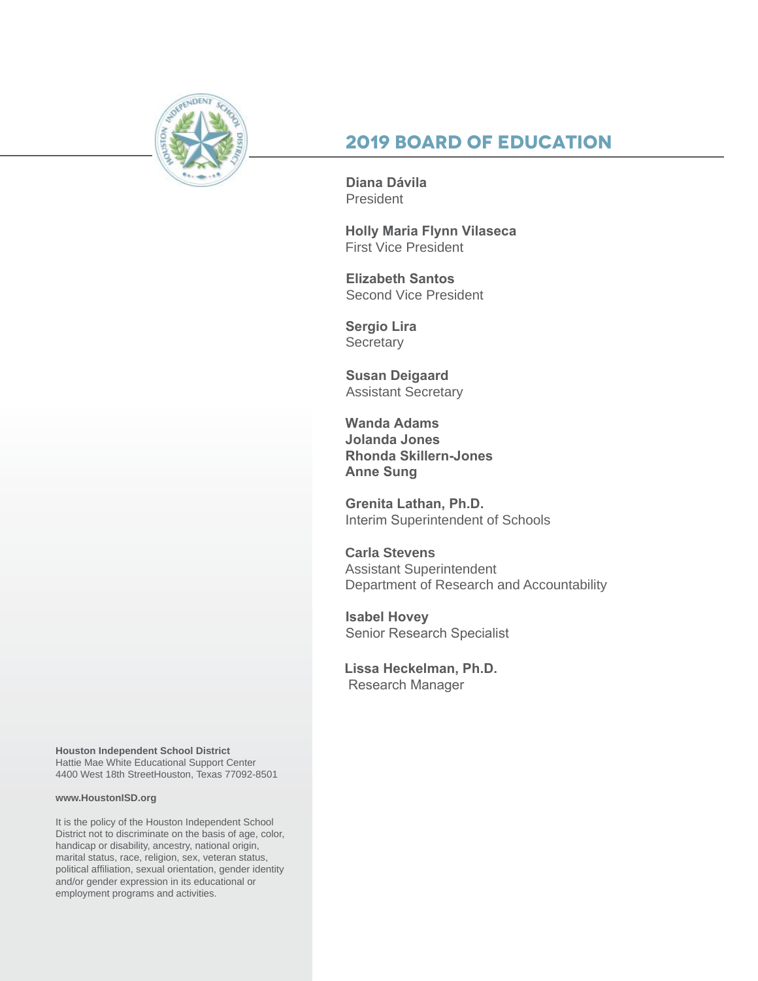

## **2019 Board of Education**

**Diana Dávila**  President

**Holly Maria Flynn Vilaseca** First Vice President

**Elizabeth Santos**  Second Vice President

**Sergio Lira Secretary** 

**Susan Deigaard** Assistant Secretary

**Wanda Adams Jolanda Jones Rhonda Skillern-Jones Anne Sung**

**Grenita Lathan, Ph.D.**  Interim Superintendent of Schools

**Carla Stevens** Assistant Superintendent Department of Research and Accountability

**Isabel Hovey**  Senior Research Specialist

**Lissa Heckelman, Ph.D.** Research Manager

**Houston Independent School District** Hattie Mae White Educational Support Center 4400 West 18th StreetHouston, Texas 77092-8501

#### **www.HoustonISD.org**

It is the policy of the Houston Independent School District not to discriminate on the basis of age, color, handicap or disability, ancestry, national origin, marital status, race, religion, sex, veteran status, political affiliation, sexual orientation, gender identity and/or gender expression in its educational or employment programs and activities.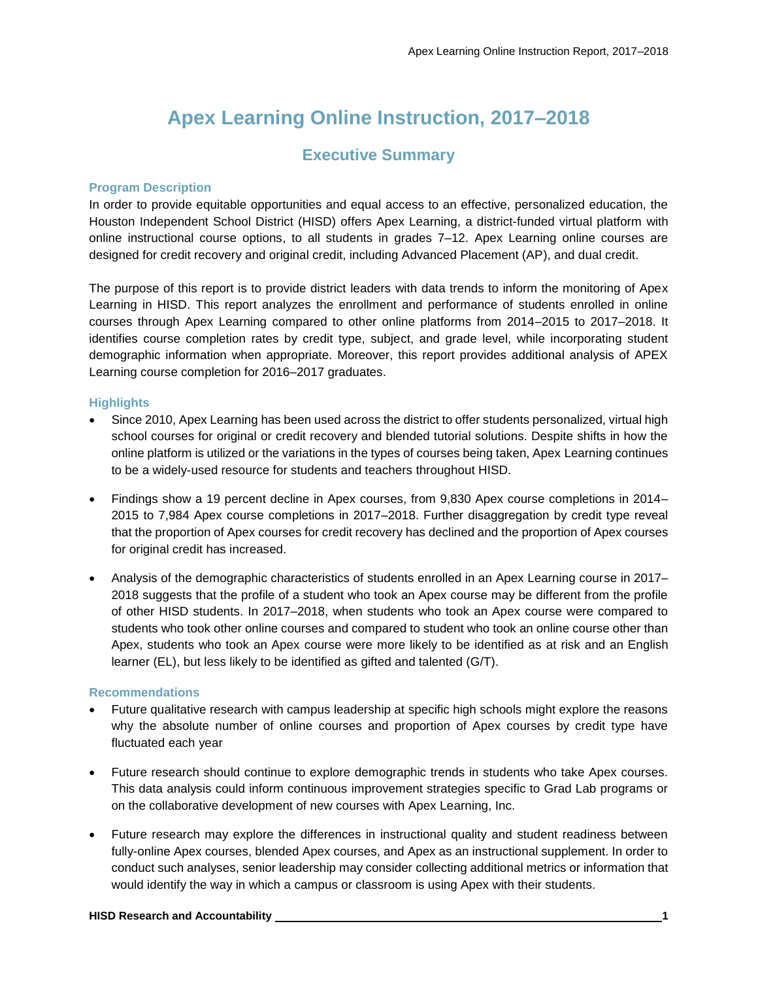## **Apex Learning Online Instruction, 2017–2018**

#### **Executive Summary**

#### **Program Description**

In order to provide equitable opportunities and equal access to an effective, personalized education, the Houston Independent School District (HISD) offers Apex Learning, a district-funded virtual platform with online instructional course options, to all students in grades 7–12. Apex Learning online courses are designed for credit recovery and original credit, including Advanced Placement (AP), and dual credit.

The purpose of this report is to provide district leaders with data trends to inform the monitoring of Apex Learning in HISD. This report analyzes the enrollment and performance of students enrolled in online courses through Apex Learning compared to other online platforms from 2014–2015 to 2017–2018. It identifies course completion rates by credit type, subject, and grade level, while incorporating student demographic information when appropriate. Moreover, this report provides additional analysis of APEX Learning course completion for 2016–2017 graduates.

#### **Highlights**

- Since 2010, Apex Learning has been used across the district to offer students personalized, virtual high school courses for original or credit recovery and blended tutorial solutions. Despite shifts in how the online platform is utilized or the variations in the types of courses being taken, Apex Learning continues to be a widely-used resource for students and teachers throughout HISD.
- Findings show a 19 percent decline in Apex courses, from 9,830 Apex course completions in 2014– 2015 to 7,984 Apex course completions in 2017–2018. Further disaggregation by credit type reveal that the proportion of Apex courses for credit recovery has declined and the proportion of Apex courses for original credit has increased.
- Analysis of the demographic characteristics of students enrolled in an Apex Learning course in 2017– 2018 suggests that the profile of a student who took an Apex course may be different from the profile of other HISD students. In 2017–2018, when students who took an Apex course were compared to students who took other online courses and compared to student who took an online course other than Apex, students who took an Apex course were more likely to be identified as at risk and an English learner (EL), but less likely to be identified as gifted and talented (G/T).

#### **Recommendations**

- Future qualitative research with campus leadership at specific high schools might explore the reasons why the absolute number of online courses and proportion of Apex courses by credit type have fluctuated each year
- Future research should continue to explore demographic trends in students who take Apex courses. This data analysis could inform continuous improvement strategies specific to Grad Lab programs or on the collaborative development of new courses with Apex Learning, Inc.
- Future research may explore the differences in instructional quality and student readiness between fully-online Apex courses, blended Apex courses, and Apex as an instructional supplement. In order to conduct such analyses, senior leadership may consider collecting additional metrics or information that would identify the way in which a campus or classroom is using Apex with their students.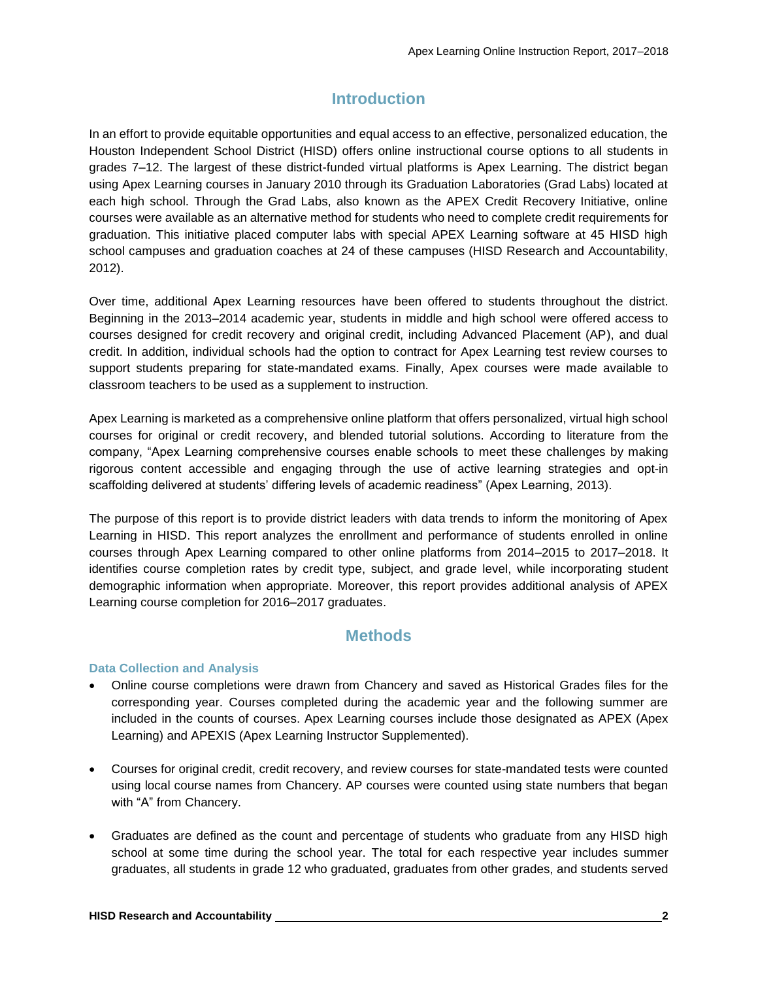## **Introduction**

In an effort to provide equitable opportunities and equal access to an effective, personalized education, the Houston Independent School District (HISD) offers online instructional course options to all students in grades 7–12. The largest of these district-funded virtual platforms is Apex Learning. The district began using Apex Learning courses in January 2010 through its Graduation Laboratories (Grad Labs) located at each high school. Through the Grad Labs, also known as the APEX Credit Recovery Initiative, online courses were available as an alternative method for students who need to complete credit requirements for graduation. This initiative placed computer labs with special APEX Learning software at 45 HISD high school campuses and graduation coaches at 24 of these campuses (HISD Research and Accountability, 2012).

Over time, additional Apex Learning resources have been offered to students throughout the district. Beginning in the 2013–2014 academic year, students in middle and high school were offered access to courses designed for credit recovery and original credit, including Advanced Placement (AP), and dual credit. In addition, individual schools had the option to contract for Apex Learning test review courses to support students preparing for state-mandated exams. Finally, Apex courses were made available to classroom teachers to be used as a supplement to instruction.

Apex Learning is marketed as a comprehensive online platform that offers personalized, virtual high school courses for original or credit recovery, and blended tutorial solutions. According to literature from the company, "Apex Learning comprehensive courses enable schools to meet these challenges by making rigorous content accessible and engaging through the use of active learning strategies and opt-in scaffolding delivered at students' differing levels of academic readiness" (Apex Learning, 2013).

The purpose of this report is to provide district leaders with data trends to inform the monitoring of Apex Learning in HISD. This report analyzes the enrollment and performance of students enrolled in online courses through Apex Learning compared to other online platforms from 2014–2015 to 2017–2018. It identifies course completion rates by credit type, subject, and grade level, while incorporating student demographic information when appropriate. Moreover, this report provides additional analysis of APEX Learning course completion for 2016–2017 graduates.

## **Methods**

#### **Data Collection and Analysis**

- Online course completions were drawn from Chancery and saved as Historical Grades files for the corresponding year. Courses completed during the academic year and the following summer are included in the counts of courses. Apex Learning courses include those designated as APEX (Apex Learning) and APEXIS (Apex Learning Instructor Supplemented).
- Courses for original credit, credit recovery, and review courses for state-mandated tests were counted using local course names from Chancery. AP courses were counted using state numbers that began with "A" from Chancery.
- Graduates are defined as the count and percentage of students who graduate from any HISD high school at some time during the school year. The total for each respective year includes summer graduates, all students in grade 12 who graduated, graduates from other grades, and students served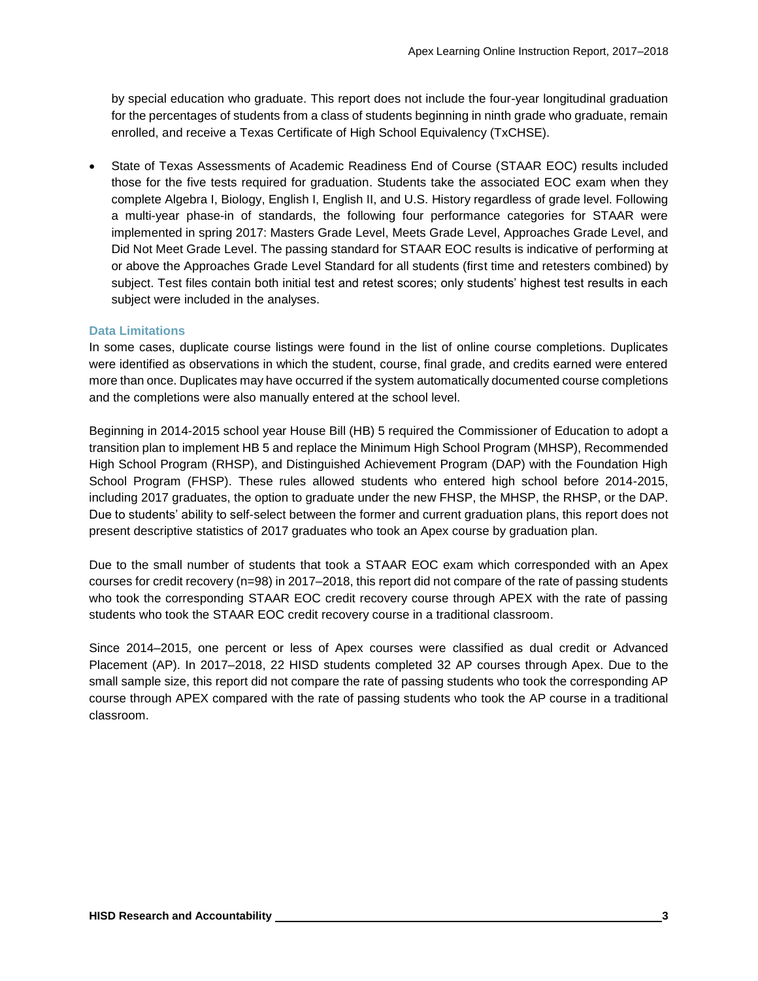by special education who graduate. This report does not include the four-year longitudinal graduation for the percentages of students from a class of students beginning in ninth grade who graduate, remain enrolled, and receive a Texas Certificate of High School Equivalency (TxCHSE).

• State of Texas Assessments of Academic Readiness End of Course (STAAR EOC) results included those for the five tests required for graduation. Students take the associated EOC exam when they complete Algebra I, Biology, English I, English II, and U.S. History regardless of grade level. Following a multi-year phase-in of standards, the following four performance categories for STAAR were implemented in spring 2017: Masters Grade Level, Meets Grade Level, Approaches Grade Level, and Did Not Meet Grade Level. The passing standard for STAAR EOC results is indicative of performing at or above the Approaches Grade Level Standard for all students (first time and retesters combined) by subject. Test files contain both initial test and retest scores; only students' highest test results in each subject were included in the analyses.

#### **Data Limitations**

In some cases, duplicate course listings were found in the list of online course completions. Duplicates were identified as observations in which the student, course, final grade, and credits earned were entered more than once. Duplicates may have occurred if the system automatically documented course completions and the completions were also manually entered at the school level.

Beginning in 2014-2015 school year House Bill (HB) 5 required the Commissioner of Education to adopt a transition plan to implement HB 5 and replace the Minimum High School Program (MHSP), Recommended High School Program (RHSP), and Distinguished Achievement Program (DAP) with the Foundation High School Program (FHSP). These rules allowed students who entered high school before 2014-2015, including 2017 graduates, the option to graduate under the new FHSP, the MHSP, the RHSP, or the DAP. Due to students' ability to self-select between the former and current graduation plans, this report does not present descriptive statistics of 2017 graduates who took an Apex course by graduation plan.

Due to the small number of students that took a STAAR EOC exam which corresponded with an Apex courses for credit recovery (n=98) in 2017–2018, this report did not compare of the rate of passing students who took the corresponding STAAR EOC credit recovery course through APEX with the rate of passing students who took the STAAR EOC credit recovery course in a traditional classroom.

Since 2014–2015, one percent or less of Apex courses were classified as dual credit or Advanced Placement (AP). In 2017–2018, 22 HISD students completed 32 AP courses through Apex. Due to the small sample size, this report did not compare the rate of passing students who took the corresponding AP course through APEX compared with the rate of passing students who took the AP course in a traditional classroom.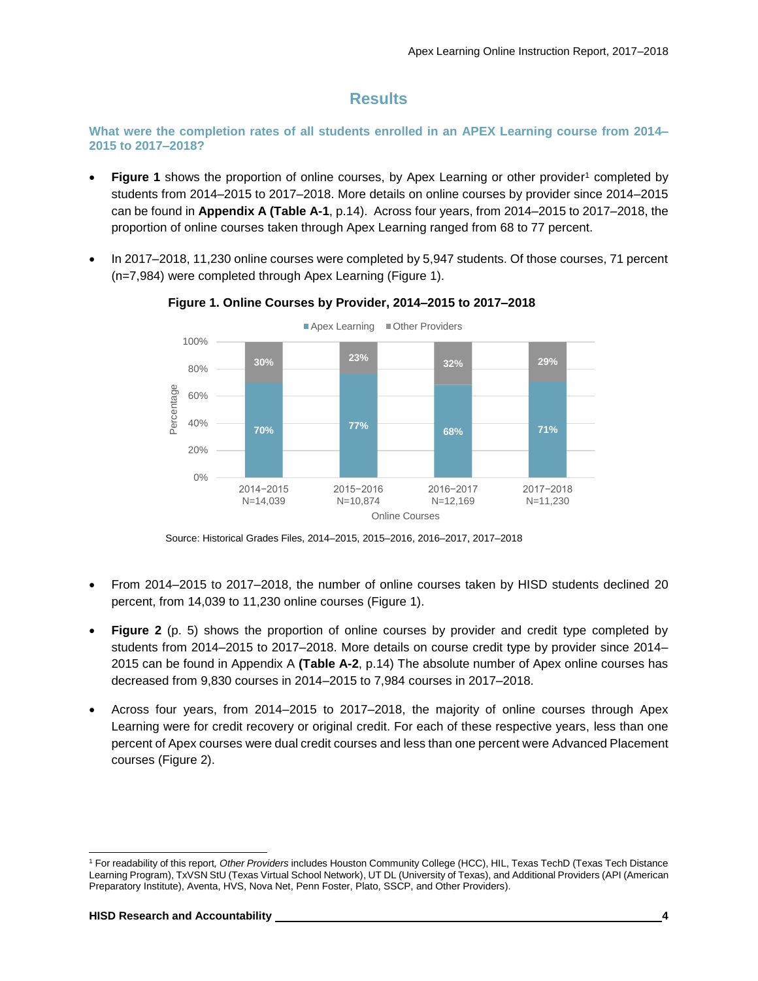## **Results**

**What were the completion rates of all students enrolled in an APEX Learning course from 2014– 2015 to 2017–2018?**

- **Figure 1** shows the proportion of online courses, by Apex Learning or other provider<sup>1</sup> completed by students from 2014–2015 to 2017–2018. More details on online courses by provider since 2014–2015 can be found in **Appendix A (Table A-1**, p.14). Across four years, from 2014–2015 to 2017–2018, the proportion of online courses taken through Apex Learning ranged from 68 to 77 percent.
- In 2017–2018, 11,230 online courses were completed by 5,947 students. Of those courses, 71 percent (n=7,984) were completed through Apex Learning (Figure 1).



**Figure 1. Online Courses by Provider, 2014–2015 to 2017–2018**

Source: Historical Grades Files, 2014–2015, 2015–2016, 2016–2017, 2017–2018

- From 2014–2015 to 2017–2018, the number of online courses taken by HISD students declined 20 percent, from 14,039 to 11,230 online courses (Figure 1).
- **Figure 2** (p. 5) shows the proportion of online courses by provider and credit type completed by students from 2014–2015 to 2017–2018. More details on course credit type by provider since 2014– 2015 can be found in Appendix A **(Table A-2**, p.14) The absolute number of Apex online courses has decreased from 9,830 courses in 2014–2015 to 7,984 courses in 2017–2018.
- Across four years, from 2014–2015 to 2017–2018, the majority of online courses through Apex Learning were for credit recovery or original credit. For each of these respective years, less than one percent of Apex courses were dual credit courses and less than one percent were Advanced Placement courses (Figure 2).

l

<sup>1</sup> For readability of this report*, Other Providers* includes Houston Community College (HCC), HIL, Texas TechD (Texas Tech Distance Learning Program), TxVSN StU (Texas Virtual School Network), UT DL (University of Texas), and Additional Providers (API (American Preparatory Institute), Aventa, HVS, Nova Net, Penn Foster, Plato, SSCP, and Other Providers).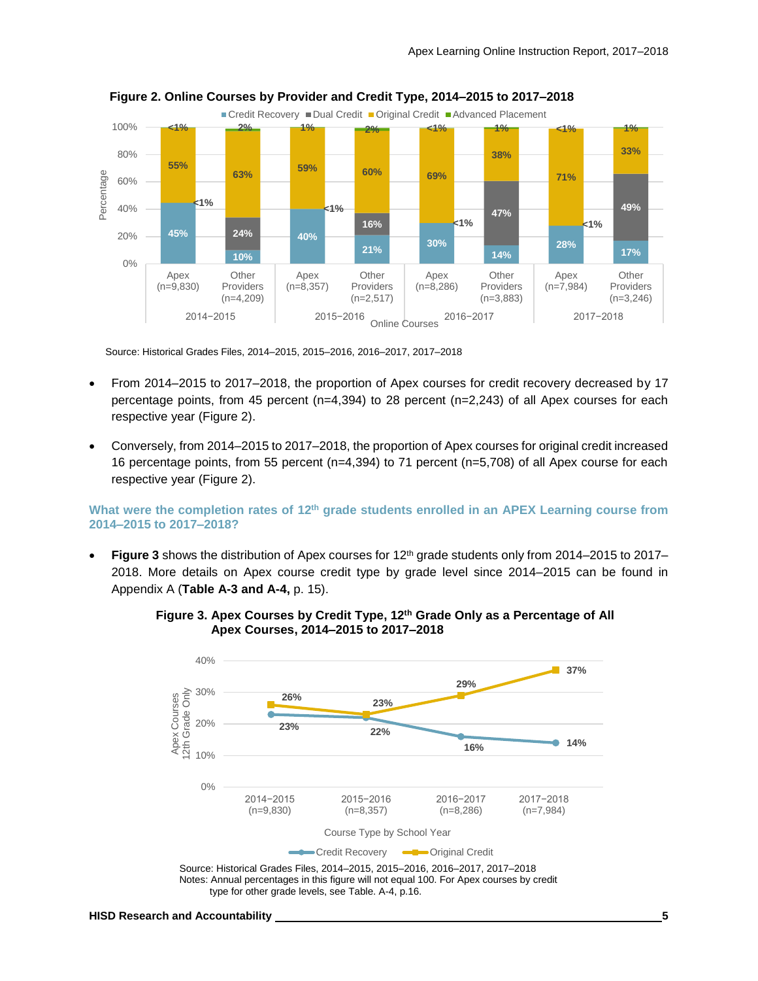

 **Figure 2. Online Courses by Provider and Credit Type, 2014–2015 to 2017–2018**

Source: Historical Grades Files, 2014–2015, 2015–2016, 2016–2017, 2017–2018

- From 2014–2015 to 2017–2018, the proportion of Apex courses for credit recovery decreased by 17 percentage points, from 45 percent (n=4,394) to 28 percent (n=2,243) of all Apex courses for each respective year (Figure 2).
- Conversely, from 2014–2015 to 2017–2018, the proportion of Apex courses for original credit increased 16 percentage points, from 55 percent (n=4,394) to 71 percent (n=5,708) of all Apex course for each respective year (Figure 2).

#### **What were the completion rates of 12th grade students enrolled in an APEX Learning course from 2014–2015 to 2017–2018?**

• **Figure 3** shows the distribution of Apex courses for 12th grade students only from 2014–2015 to 2017– 2018. More details on Apex course credit type by grade level since 2014–2015 can be found in Appendix A (**Table A-3 and A-4,** p. 15).



 **Figure 3. Apex Courses by Credit Type, 12th Grade Only as a Percentage of All Apex Courses, 2014–2015 to 2017–2018**

Source: Historical Grades Files, 2014–2015, 2015–2016, 2016–2017, 2017–2018 Notes: Annual percentages in this figure will not equal 100. For Apex courses by credit type for other grade levels, see Table. A-4, p.16.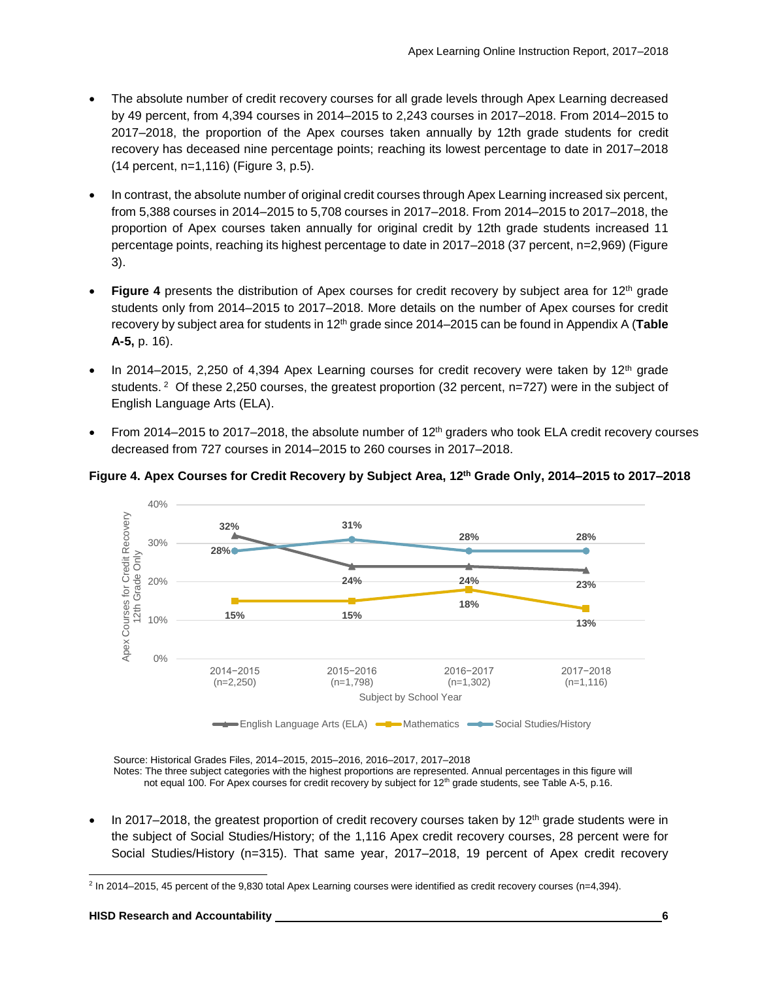- The absolute number of credit recovery courses for all grade levels through Apex Learning decreased by 49 percent, from 4,394 courses in 2014–2015 to 2,243 courses in 2017–2018. From 2014–2015 to 2017–2018, the proportion of the Apex courses taken annually by 12th grade students for credit recovery has deceased nine percentage points; reaching its lowest percentage to date in 2017–2018 (14 percent, n=1,116) (Figure 3, p.5).
- In contrast, the absolute number of original credit courses through Apex Learning increased six percent, from 5,388 courses in 2014–2015 to 5,708 courses in 2017–2018. From 2014–2015 to 2017–2018, the proportion of Apex courses taken annually for original credit by 12th grade students increased 11 percentage points, reaching its highest percentage to date in 2017–2018 (37 percent, n=2,969) (Figure 3).
- **Figure 4** presents the distribution of Apex courses for credit recovery by subject area for 12<sup>th</sup> grade students only from 2014–2015 to 2017–2018. More details on the number of Apex courses for credit recovery by subject area for students in 12th grade since 2014–2015 can be found in Appendix A (**Table A-5,** p. 16).
- In 2014–2015, 2,250 of 4,394 Apex Learning courses for credit recovery were taken by  $12<sup>th</sup>$  grade students. <sup>2</sup> Of these 2,250 courses, the greatest proportion (32 percent, n=727) were in the subject of English Language Arts (ELA).
- From 2014–2015 to 2017–2018, the absolute number of  $12<sup>th</sup>$  graders who took ELA credit recovery courses decreased from 727 courses in 2014–2015 to 260 courses in 2017–2018.





Source: Historical Grades Files, 2014–2015, 2015–2016, 2016–2017, 2017–2018

Notes: The three subject categories with the highest proportions are represented. Annual percentages in this figure will not equal 100. For Apex courses for credit recovery by subject for 12<sup>th</sup> grade students, see Table A-5, p.16.

In 2017–2018, the greatest proportion of credit recovery courses taken by  $12<sup>th</sup>$  grade students were in the subject of Social Studies/History; of the 1,116 Apex credit recovery courses, 28 percent were for Social Studies/History (n=315). That same year, 2017–2018, 19 percent of Apex credit recovery

l

<sup>&</sup>lt;sup>2</sup> In 2014–2015, 45 percent of the 9,830 total Apex Learning courses were identified as credit recovery courses (n=4,394).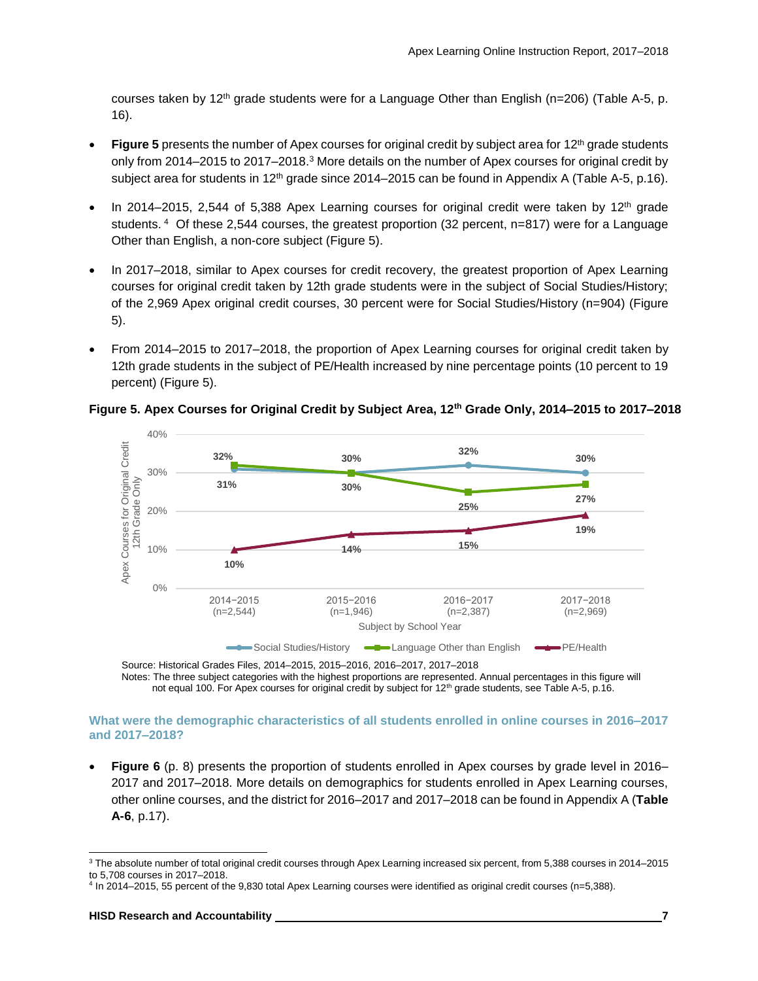courses taken by 12<sup>th</sup> grade students were for a Language Other than English (n=206) (Table A-5, p. 16).

- Figure 5 presents the number of Apex courses for original credit by subject area for 12<sup>th</sup> grade students only from 2014–2015 to 2017–2018.<sup>3</sup> More details on the number of Apex courses for original credit by subject area for students in 12<sup>th</sup> grade since 2014–2015 can be found in Appendix A (Table A-5, p.16).
- In 2014–2015, 2,544 of 5,388 Apex Learning courses for original credit were taken by  $12<sup>th</sup>$  grade students. 4 Of these 2,544 courses, the greatest proportion (32 percent, n=817) were for a Language Other than English, a non-core subject (Figure 5).
- In 2017–2018, similar to Apex courses for credit recovery, the greatest proportion of Apex Learning courses for original credit taken by 12th grade students were in the subject of Social Studies/History; of the 2,969 Apex original credit courses, 30 percent were for Social Studies/History (n=904) (Figure 5).
- From 2014–2015 to 2017–2018, the proportion of Apex Learning courses for original credit taken by 12th grade students in the subject of PE/Health increased by nine percentage points (10 percent to 19 percent) (Figure 5).



#### **Figure 5. Apex Courses for Original Credit by Subject Area, 12th Grade Only, 2014–2015 to 2017–2018**

Source: Historical Grades Files, 2014–2015, 2015–2016, 2016–2017, 2017–2018 Notes: The three subject categories with the highest proportions are represented. Annual percentages in this figure will not equal 100. For Apex courses for original credit by subject for 12<sup>th</sup> grade students, see Table A-5, p.16.

#### **What were the demographic characteristics of all students enrolled in online courses in 2016–2017 and 2017–2018?**

• **Figure 6** (p. 8) presents the proportion of students enrolled in Apex courses by grade level in 2016– 2017 and 2017–2018. More details on demographics for students enrolled in Apex Learning courses, other online courses, and the district for 2016–2017 and 2017–2018 can be found in Appendix A (**Table A-6**, p.17).

l

<sup>3</sup> The absolute number of total original credit courses through Apex Learning increased six percent, from 5,388 courses in 2014–2015 to 5,708 courses in 2017–2018.

<sup>4</sup> In 2014–2015, 55 percent of the 9,830 total Apex Learning courses were identified as original credit courses (n=5,388).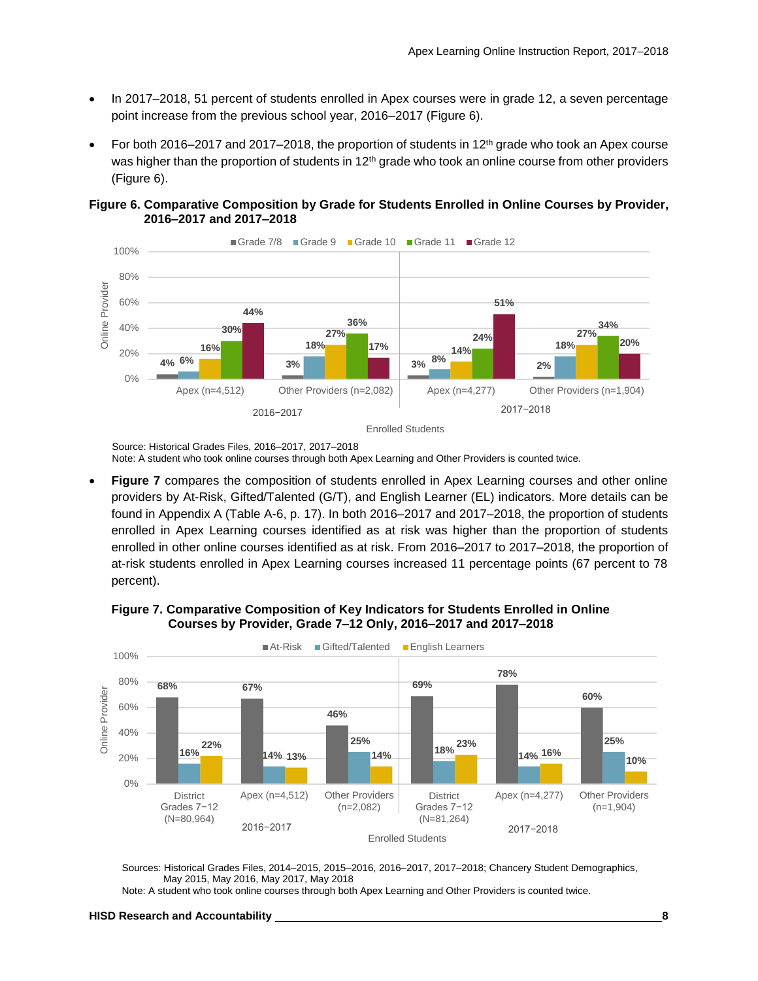- In 2017–2018, 51 percent of students enrolled in Apex courses were in grade 12, a seven percentage point increase from the previous school year, 2016–2017 (Figure 6).
- For both 2016–2017 and 2017–2018, the proportion of students in 12<sup>th</sup> grade who took an Apex course was higher than the proportion of students in 12<sup>th</sup> grade who took an online course from other providers (Figure 6).





Source: Historical Grades Files, 2016–2017, 2017–2018 Note: A student who took online courses through both Apex Learning and Other Providers is counted twice.

• **Figure 7** compares the composition of students enrolled in Apex Learning courses and other online providers by At-Risk, Gifted/Talented (G/T), and English Learner (EL) indicators. More details can be found in Appendix A (Table A-6, p. 17). In both 2016–2017 and 2017–2018, the proportion of students enrolled in Apex Learning courses identified as at risk was higher than the proportion of students enrolled in other online courses identified as at risk. From 2016–2017 to 2017–2018, the proportion of at-risk students enrolled in Apex Learning courses increased 11 percentage points (67 percent to 78 percent).

 **Figure 7. Comparative Composition of Key Indicators for Students Enrolled in Online Courses by Provider, Grade 7–12 Only, 2016–2017 and 2017–2018**



Sources: Historical Grades Files, 2014–2015, 2015–2016, 2016–2017, 2017–2018; Chancery Student Demographics, May 2015, May 2016, May 2017, May 2018

Note: A student who took online courses through both Apex Learning and Other Providers is counted twice.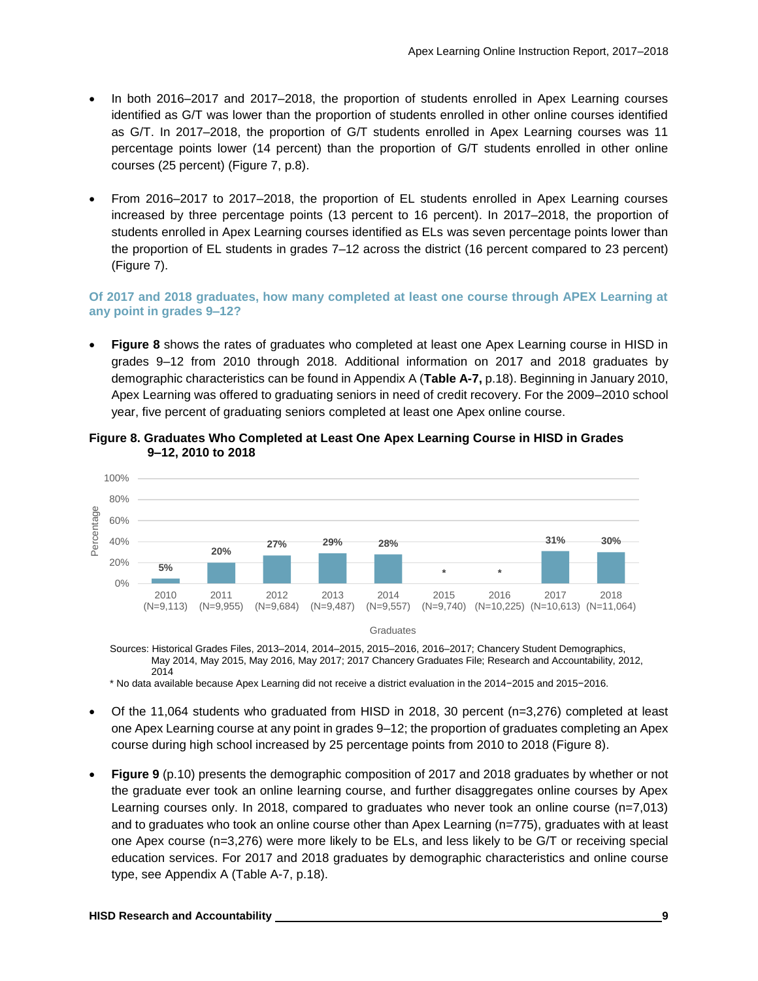- In both 2016–2017 and 2017–2018, the proportion of students enrolled in Apex Learning courses identified as G/T was lower than the proportion of students enrolled in other online courses identified as G/T. In 2017–2018, the proportion of G/T students enrolled in Apex Learning courses was 11 percentage points lower (14 percent) than the proportion of G/T students enrolled in other online courses (25 percent) (Figure 7, p.8).
- From 2016–2017 to 2017–2018, the proportion of EL students enrolled in Apex Learning courses increased by three percentage points (13 percent to 16 percent). In 2017–2018, the proportion of students enrolled in Apex Learning courses identified as ELs was seven percentage points lower than the proportion of EL students in grades 7–12 across the district (16 percent compared to 23 percent) (Figure 7).

#### **Of 2017 and 2018 graduates, how many completed at least one course through APEX Learning at any point in grades 9–12?**

• **Figure 8** shows the rates of graduates who completed at least one Apex Learning course in HISD in grades 9–12 from 2010 through 2018. Additional information on 2017 and 2018 graduates by demographic characteristics can be found in Appendix A (**Table A-7,** p.18). Beginning in January 2010, Apex Learning was offered to graduating seniors in need of credit recovery. For the 2009–2010 school year, five percent of graduating seniors completed at least one Apex online course.



**Figure 8. Graduates Who Completed at Least One Apex Learning Course in HISD in Grades 9–12, 2010 to 2018**

Sources: Historical Grades Files, 2013–2014, 2014–2015, 2015–2016, 2016–2017; Chancery Student Demographics, May 2014, May 2015, May 2016, May 2017; 2017 Chancery Graduates File; Research and Accountability, 2012, 2014

\* No data available because Apex Learning did not receive a district evaluation in the 2014−2015 and 2015−2016.

- Of the 11,064 students who graduated from HISD in 2018, 30 percent (n=3,276) completed at least one Apex Learning course at any point in grades 9–12; the proportion of graduates completing an Apex course during high school increased by 25 percentage points from 2010 to 2018 (Figure 8).
- **Figure 9** (p.10) presents the demographic composition of 2017 and 2018 graduates by whether or not the graduate ever took an online learning course, and further disaggregates online courses by Apex Learning courses only. In 2018, compared to graduates who never took an online course (n=7,013) and to graduates who took an online course other than Apex Learning (n=775), graduates with at least one Apex course (n=3,276) were more likely to be ELs, and less likely to be G/T or receiving special education services. For 2017 and 2018 graduates by demographic characteristics and online course type, see Appendix A (Table A-7, p.18).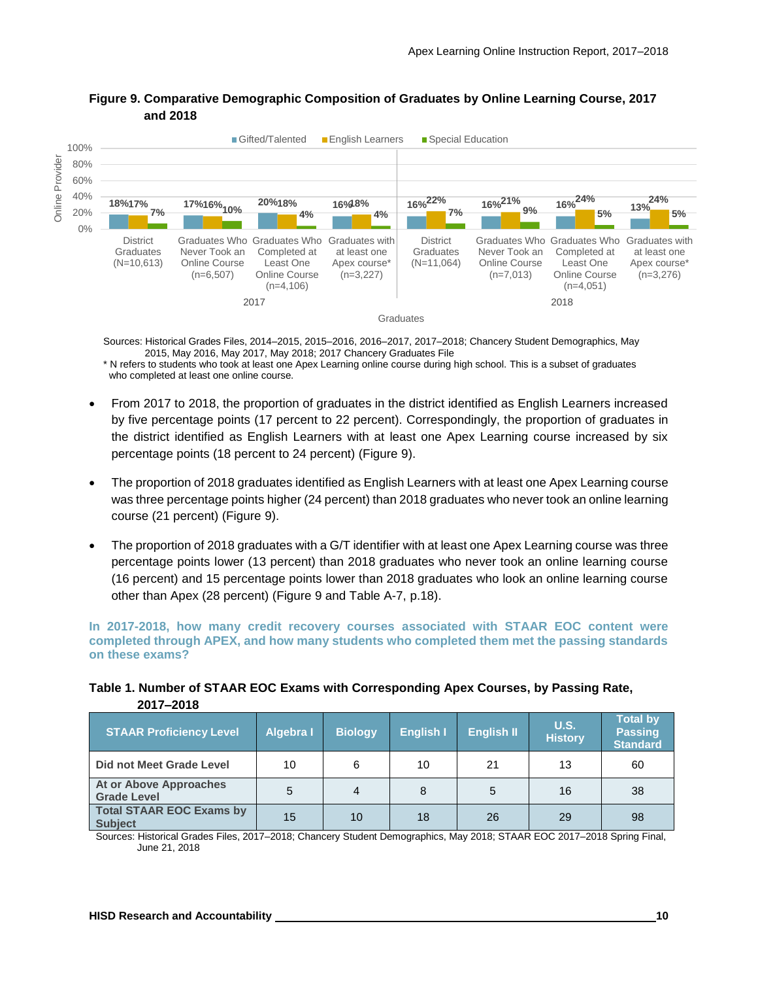

#### **Figure 9. Comparative Demographic Composition of Graduates by Online Learning Course, 2017 and 2018**

Sources: Historical Grades Files, 2014–2015, 2015–2016, 2016–2017, 2017–2018; Chancery Student Demographics, May 2015, May 2016, May 2017, May 2018; 2017 Chancery Graduates File

\* N refers to students who took at least one Apex Learning online course during high school. This is a subset of graduates who completed at least one online course.

- From 2017 to 2018, the proportion of graduates in the district identified as English Learners increased by five percentage points (17 percent to 22 percent). Correspondingly, the proportion of graduates in the district identified as English Learners with at least one Apex Learning course increased by six percentage points (18 percent to 24 percent) (Figure 9).
- The proportion of 2018 graduates identified as English Learners with at least one Apex Learning course was three percentage points higher (24 percent) than 2018 graduates who never took an online learning course (21 percent) (Figure 9).
- The proportion of 2018 graduates with a G/T identifier with at least one Apex Learning course was three percentage points lower (13 percent) than 2018 graduates who never took an online learning course (16 percent) and 15 percentage points lower than 2018 graduates who look an online learning course other than Apex (28 percent) (Figure 9 and Table A-7, p.18).

**In 2017-2018, how many credit recovery courses associated with STAAR EOC content were completed through APEX, and how many students who completed them met the passing standards on these exams?**

| ZV I <i>I</i> – ZV I O                            |                  |                |                  |                   |                               |                                                      |
|---------------------------------------------------|------------------|----------------|------------------|-------------------|-------------------------------|------------------------------------------------------|
| <b>STAAR Proficiency Level</b>                    | <b>Algebra I</b> | <b>Biology</b> | <b>English I</b> | <b>English II</b> | <b>U.S.</b><br><b>History</b> | <b>Total by</b><br><b>Passing</b><br><b>Standard</b> |
| Did not Meet Grade Level                          | 10               | 6              | 10               | 21                | 13                            | 60                                                   |
| At or Above Approaches<br><b>Grade Level</b>      | 5                | 4              | 8                | 5                 | 16                            | 38                                                   |
| <b>Total STAAR EOC Exams by</b><br><b>Subject</b> | 15               | 10             | 18               | 26                | 29                            | 98                                                   |

#### **Table 1. Number of STAAR EOC Exams with Corresponding Apex Courses, by Passing Rate, 2017–2018**

Sources: Historical Grades Files, 2017–2018; Chancery Student Demographics, May 2018; STAAR EOC 2017–2018 Spring Final, June 21, 2018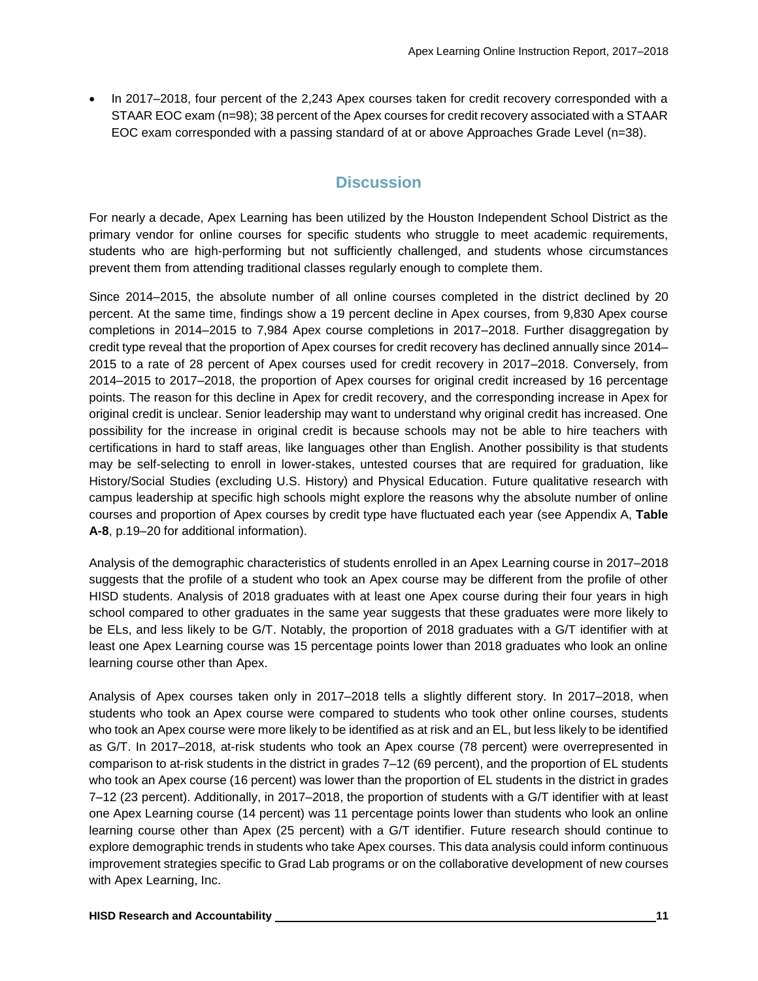• In 2017–2018, four percent of the 2,243 Apex courses taken for credit recovery corresponded with a STAAR EOC exam (n=98); 38 percent of the Apex courses for credit recovery associated with a STAAR EOC exam corresponded with a passing standard of at or above Approaches Grade Level (n=38).

## **Discussion**

For nearly a decade, Apex Learning has been utilized by the Houston Independent School District as the primary vendor for online courses for specific students who struggle to meet academic requirements, students who are high-performing but not sufficiently challenged, and students whose circumstances prevent them from attending traditional classes regularly enough to complete them.

Since 2014–2015, the absolute number of all online courses completed in the district declined by 20 percent. At the same time, findings show a 19 percent decline in Apex courses, from 9,830 Apex course completions in 2014–2015 to 7,984 Apex course completions in 2017–2018. Further disaggregation by credit type reveal that the proportion of Apex courses for credit recovery has declined annually since 2014– 2015 to a rate of 28 percent of Apex courses used for credit recovery in 2017–2018. Conversely, from 2014–2015 to 2017–2018, the proportion of Apex courses for original credit increased by 16 percentage points. The reason for this decline in Apex for credit recovery, and the corresponding increase in Apex for original credit is unclear. Senior leadership may want to understand why original credit has increased. One possibility for the increase in original credit is because schools may not be able to hire teachers with certifications in hard to staff areas, like languages other than English. Another possibility is that students may be self-selecting to enroll in lower-stakes, untested courses that are required for graduation, like History/Social Studies (excluding U.S. History) and Physical Education. Future qualitative research with campus leadership at specific high schools might explore the reasons why the absolute number of online courses and proportion of Apex courses by credit type have fluctuated each year (see Appendix A, **Table A-8**, p.19–20 for additional information).

Analysis of the demographic characteristics of students enrolled in an Apex Learning course in 2017–2018 suggests that the profile of a student who took an Apex course may be different from the profile of other HISD students. Analysis of 2018 graduates with at least one Apex course during their four years in high school compared to other graduates in the same year suggests that these graduates were more likely to be ELs, and less likely to be G/T. Notably, the proportion of 2018 graduates with a G/T identifier with at least one Apex Learning course was 15 percentage points lower than 2018 graduates who look an online learning course other than Apex.

Analysis of Apex courses taken only in 2017–2018 tells a slightly different story. In 2017–2018, when students who took an Apex course were compared to students who took other online courses, students who took an Apex course were more likely to be identified as at risk and an EL, but less likely to be identified as G/T. In 2017–2018, at-risk students who took an Apex course (78 percent) were overrepresented in comparison to at-risk students in the district in grades 7–12 (69 percent), and the proportion of EL students who took an Apex course (16 percent) was lower than the proportion of EL students in the district in grades 7–12 (23 percent). Additionally, in 2017–2018, the proportion of students with a G/T identifier with at least one Apex Learning course (14 percent) was 11 percentage points lower than students who look an online learning course other than Apex (25 percent) with a G/T identifier. Future research should continue to explore demographic trends in students who take Apex courses. This data analysis could inform continuous improvement strategies specific to Grad Lab programs or on the collaborative development of new courses with Apex Learning, Inc.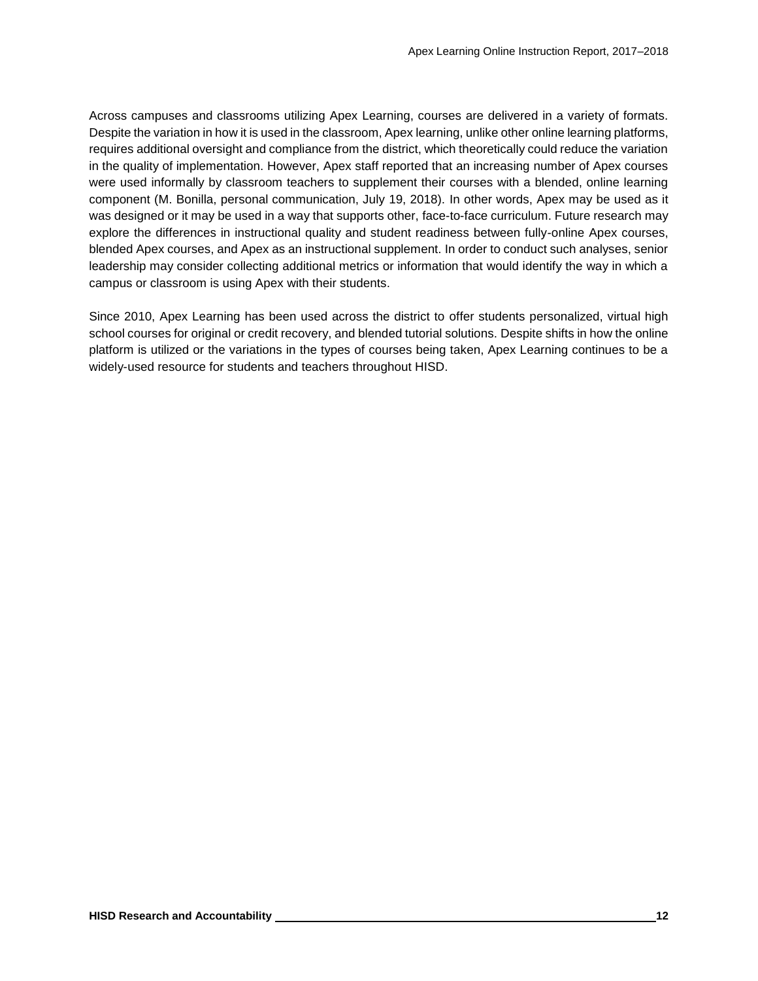Across campuses and classrooms utilizing Apex Learning, courses are delivered in a variety of formats. Despite the variation in how it is used in the classroom, Apex learning, unlike other online learning platforms, requires additional oversight and compliance from the district, which theoretically could reduce the variation in the quality of implementation. However, Apex staff reported that an increasing number of Apex courses were used informally by classroom teachers to supplement their courses with a blended, online learning component (M. Bonilla, personal communication, July 19, 2018). In other words, Apex may be used as it was designed or it may be used in a way that supports other, face-to-face curriculum. Future research may explore the differences in instructional quality and student readiness between fully-online Apex courses, blended Apex courses, and Apex as an instructional supplement. In order to conduct such analyses, senior leadership may consider collecting additional metrics or information that would identify the way in which a campus or classroom is using Apex with their students.

Since 2010, Apex Learning has been used across the district to offer students personalized, virtual high school courses for original or credit recovery, and blended tutorial solutions. Despite shifts in how the online platform is utilized or the variations in the types of courses being taken, Apex Learning continues to be a widely-used resource for students and teachers throughout HISD.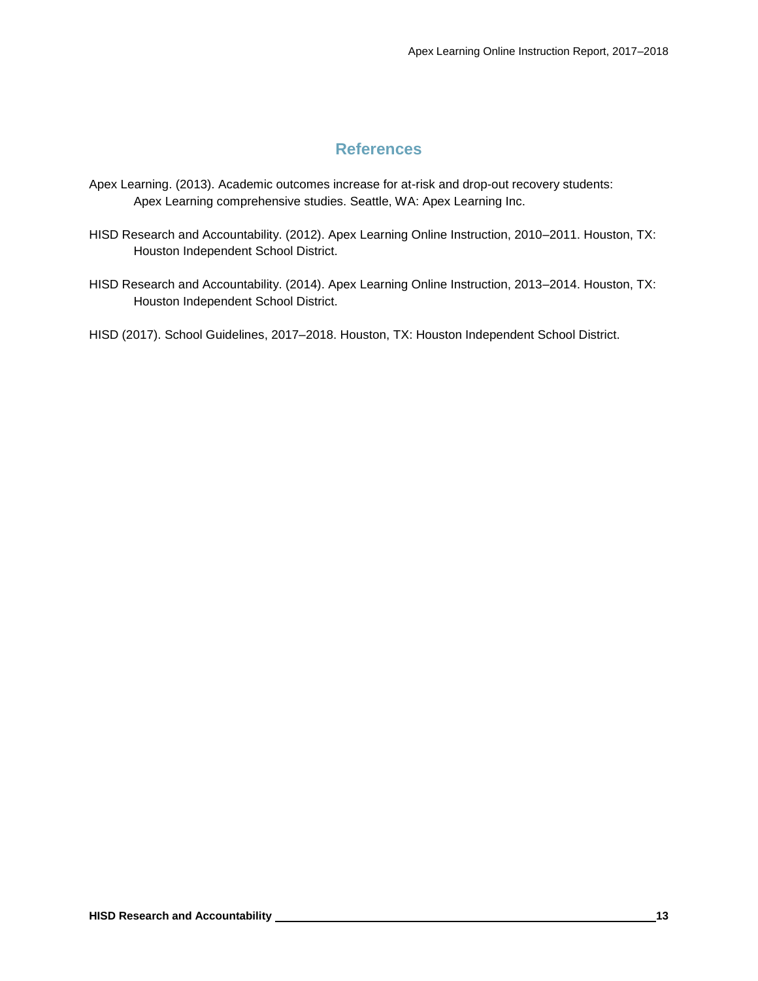## **References**

- Apex Learning. (2013). Academic outcomes increase for at-risk and drop-out recovery students: Apex Learning comprehensive studies. Seattle, WA: Apex Learning Inc.
- HISD Research and Accountability. (2012). Apex Learning Online Instruction, 2010–2011. Houston, TX: Houston Independent School District.
- HISD Research and Accountability. (2014). Apex Learning Online Instruction, 2013–2014. Houston, TX: Houston Independent School District.

HISD (2017). School Guidelines, 2017–2018. Houston, TX: Houston Independent School District.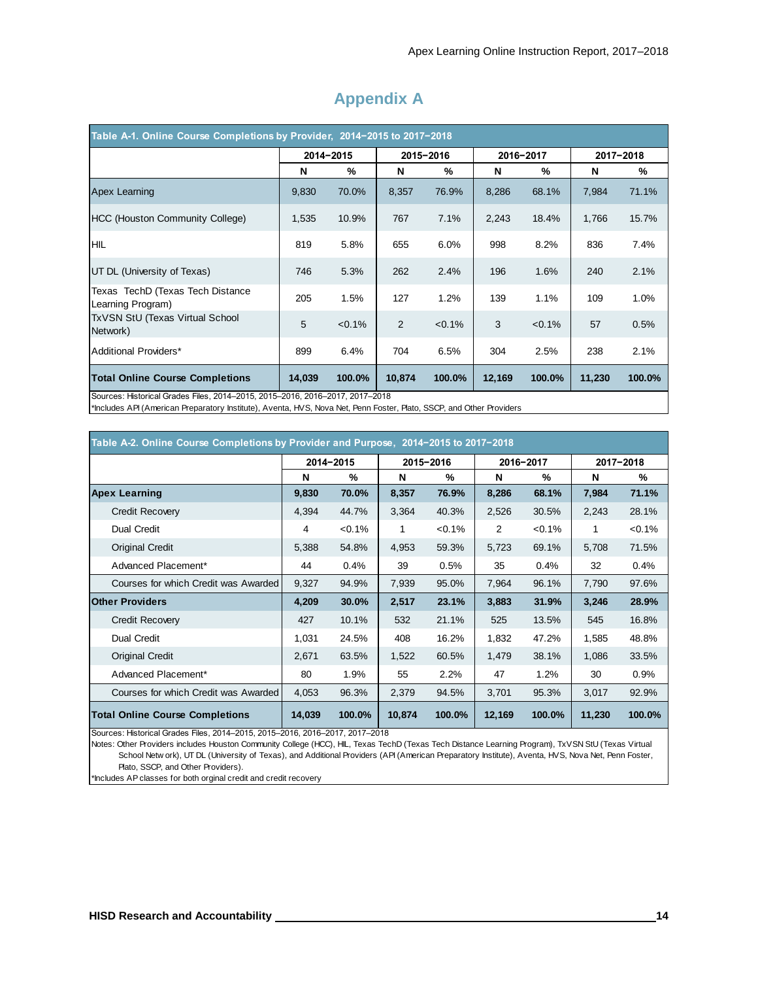| Table A-1. Online Course Completions by Provider, 2014-2015 to 2017-2018     |        |           |        |           |        |           |        |           |  |  |  |  |  |
|------------------------------------------------------------------------------|--------|-----------|--------|-----------|--------|-----------|--------|-----------|--|--|--|--|--|
|                                                                              |        | 2014-2015 |        | 2015-2016 |        | 2016-2017 |        | 2017-2018 |  |  |  |  |  |
|                                                                              | N      | %         | N      | %         | N      | %         | N      | %         |  |  |  |  |  |
| Apex Learning                                                                | 9,830  | 70.0%     | 8,357  | 76.9%     | 8,286  | 68.1%     | 7,984  | 71.1%     |  |  |  |  |  |
| <b>HCC (Houston Community College)</b>                                       | 1,535  | 10.9%     | 767    | 7.1%      | 2,243  | 18.4%     | 1,766  | 15.7%     |  |  |  |  |  |
| <b>HIL</b>                                                                   | 819    | 5.8%      | 655    | 6.0%      | 998    | 8.2%      | 836    | 7.4%      |  |  |  |  |  |
| UT DL (University of Texas)                                                  | 746    | 5.3%      | 262    | 2.4%      | 196    | 1.6%      | 240    | 2.1%      |  |  |  |  |  |
| Texas TechD (Texas Tech Distance<br>Learning Program)                        | 205    | 1.5%      | 127    | 1.2%      | 139    | 1.1%      | 109    | 1.0%      |  |  |  |  |  |
| TxVSN StU (Texas Virtual School<br>Network)                                  | 5      | $< 0.1\%$ | 2      | $< 0.1\%$ | 3      | $< 0.1\%$ | 57     | 0.5%      |  |  |  |  |  |
| Additional Providers*                                                        | 899    | 6.4%      | 704    | 6.5%      | 304    | 2.5%      | 238    | 2.1%      |  |  |  |  |  |
| <b>Total Online Course Completions</b>                                       | 14,039 | 100.0%    | 10,874 | 100.0%    | 12,169 | 100.0%    | 11,230 | 100.0%    |  |  |  |  |  |
| Sources: Historical Grades Files, 2014-2015, 2015-2016, 2016-2017, 2017-2018 |        |           |        |           |        |           |        |           |  |  |  |  |  |

## **Appendix A**

\*Includes API (American Preparatory Institute), Aventa, HVS, Nova Net, Penn Foster, Plato, SSCP, and Other Providers

| Table A-2. Online Course Completions by Provider and Purpose, 2014-2015 to 2017-2018 |        |           |        |           |        |           |        |           |  |  |  |  |  |
|--------------------------------------------------------------------------------------|--------|-----------|--------|-----------|--------|-----------|--------|-----------|--|--|--|--|--|
|                                                                                      |        | 2014-2015 |        | 2015-2016 |        | 2016-2017 |        | 2017-2018 |  |  |  |  |  |
|                                                                                      | N      | %         | N      | %         | N      | %         | N      | %         |  |  |  |  |  |
| <b>Apex Learning</b>                                                                 | 9,830  | 70.0%     | 8,357  | 76.9%     | 8,286  | 68.1%     | 7,984  | 71.1%     |  |  |  |  |  |
| <b>Credit Recovery</b>                                                               | 4,394  | 44.7%     | 3,364  | 40.3%     | 2,526  | 30.5%     | 2,243  | 28.1%     |  |  |  |  |  |
| <b>Dual Credit</b>                                                                   | 4      | $< 0.1\%$ | 1      | $< 0.1\%$ | 2      | $< 0.1\%$ | 1      | $< 0.1\%$ |  |  |  |  |  |
| <b>Original Credit</b>                                                               | 5,388  | 54.8%     | 4,953  | 59.3%     | 5,723  | 69.1%     | 5,708  | 71.5%     |  |  |  |  |  |
| Advanced Placement*                                                                  | 44     | 0.4%      | 39     | 0.5%      | 35     | 0.4%      | 32     | 0.4%      |  |  |  |  |  |
| Courses for which Credit was Awarded                                                 | 9,327  | 94.9%     | 7,939  | 95.0%     | 7,964  | 96.1%     | 7,790  | 97.6%     |  |  |  |  |  |
| <b>Other Providers</b>                                                               | 4,209  | 30.0%     | 2,517  | 23.1%     | 3,883  | 31.9%     | 3,246  | 28.9%     |  |  |  |  |  |
| <b>Credit Recovery</b>                                                               | 427    | 10.1%     | 532    | 21.1%     | 525    | 13.5%     | 545    | 16.8%     |  |  |  |  |  |
| <b>Dual Credit</b>                                                                   | 1,031  | 24.5%     | 408    | 16.2%     | 1,832  | 47.2%     | 1,585  | 48.8%     |  |  |  |  |  |
| <b>Original Credit</b>                                                               | 2,671  | 63.5%     | 1,522  | 60.5%     | 1,479  | 38.1%     | 1,086  | 33.5%     |  |  |  |  |  |
| Advanced Placement*                                                                  | 80     | 1.9%      | 55     | 2.2%      | 47     | 1.2%      | 30     | 0.9%      |  |  |  |  |  |
| Courses for which Credit was Awarded                                                 | 4,053  | 96.3%     | 2,379  | 94.5%     | 3,701  | 95.3%     | 3,017  | 92.9%     |  |  |  |  |  |
| <b>Total Online Course Completions</b>                                               | 14,039 | 100.0%    | 10,874 | 100.0%    | 12,169 | 100.0%    | 11,230 | 100.0%    |  |  |  |  |  |

Sources: Historical Grades Files, 2014–2015, 2015–2016, 2016–2017, 2017–2018

Notes: Other Providers includes Houston Community College (HCC), HIL, Texas TechD (Texas Tech Distance Learning Program), TxVSN StU (Texas Virtual Total Online Course Completions<br>
Sources: Historical Grades Files, 2014–2015, 2015–2016, 2016–2017, 2017–2018<br>
Notes: Other Providers includes Houston Community College (HCC), HIL, Texas TechD (Texas Tech Distance Learning Plato, SSCP, and Other Providers).

\*Includes AP classes for both orginal credit and credit recovery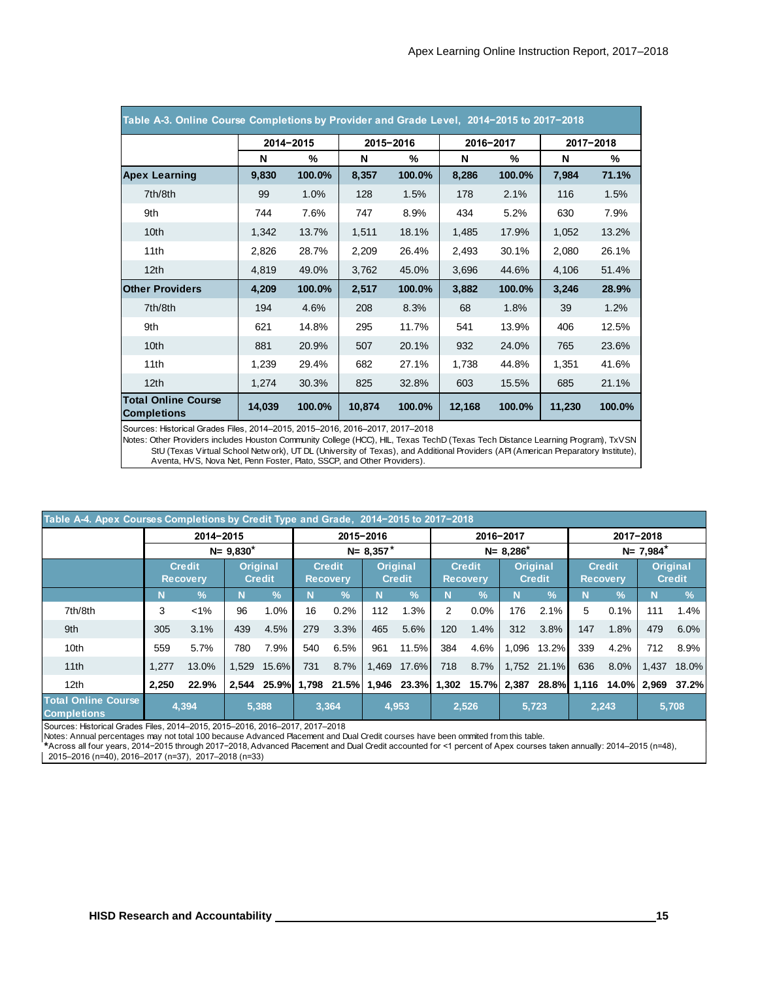| Table A-3. Online Course Completions by Provider and Grade Level, 2014-2015 to 2017-2018 |        |           |        |           |        |           |        |           |  |  |  |  |  |
|------------------------------------------------------------------------------------------|--------|-----------|--------|-----------|--------|-----------|--------|-----------|--|--|--|--|--|
|                                                                                          |        | 2014-2015 |        | 2015-2016 |        | 2016-2017 |        | 2017-2018 |  |  |  |  |  |
|                                                                                          | N      | %         | N      | %         | N      | %         | N      | %         |  |  |  |  |  |
| <b>Apex Learning</b>                                                                     | 9,830  | 100.0%    | 8,357  | 100.0%    | 8,286  | 100.0%    | 7,984  | 71.1%     |  |  |  |  |  |
| 7th/8th                                                                                  | 99     | 1.0%      | 128    | 1.5%      | 178    | 2.1%      | 116    | 1.5%      |  |  |  |  |  |
| 9th                                                                                      | 744    | 7.6%      | 747    | 8.9%      | 434    | 5.2%      | 630    | 7.9%      |  |  |  |  |  |
| 10 <sub>th</sub>                                                                         | 1,342  | 13.7%     | 1,511  | 18.1%     | 1,485  | 17.9%     | 1,052  | 13.2%     |  |  |  |  |  |
| 11th                                                                                     | 2,826  | 28.7%     | 2,209  | 26.4%     | 2,493  | 30.1%     | 2,080  | 26.1%     |  |  |  |  |  |
| 12 <sub>th</sub>                                                                         | 4,819  | 49.0%     | 3,762  | 45.0%     | 3,696  | 44.6%     | 4,106  | 51.4%     |  |  |  |  |  |
| <b>Other Providers</b>                                                                   | 4,209  | 100.0%    | 2,517  | 100.0%    | 3,882  | 100.0%    | 3,246  | 28.9%     |  |  |  |  |  |
| 7th/8th                                                                                  | 194    | 4.6%      | 208    | 8.3%      | 68     | 1.8%      | 39     | 1.2%      |  |  |  |  |  |
| 9th                                                                                      | 621    | 14.8%     | 295    | 11.7%     | 541    | 13.9%     | 406    | 12.5%     |  |  |  |  |  |
| 10 <sub>th</sub>                                                                         | 881    | 20.9%     | 507    | 20.1%     | 932    | 24.0%     | 765    | 23.6%     |  |  |  |  |  |
| 11th                                                                                     | 1,239  | 29.4%     | 682    | 27.1%     | 1,738  | 44.8%     | 1,351  | 41.6%     |  |  |  |  |  |
| 12 <sub>th</sub>                                                                         | 1,274  | 30.3%     | 825    | 32.8%     | 603    | 15.5%     | 685    | 21.1%     |  |  |  |  |  |
| <b>Total Online Course</b><br><b>Completions</b>                                         | 14,039 | 100.0%    | 10,874 | 100.0%    | 12,168 | 100.0%    | 11,230 | 100.0%    |  |  |  |  |  |

Sources: Historical Grades Files, 2014–2015, 2015–2016, 2016–2017, 2017–2018

Completions 14,039 100.0% 10,874 100.0% 12,168 100.0% 11,230 100.0%<br>Sources: Historical Grades Files, 2014–2015, 2015–2016, 2016–2017, 2017–2018<br>Notes: Other Providers includes Houston Community College (HCC), HIL, Texas T Aventa, HVS, Nova Net, Penn Foster, Plato, SSCP, and Other Providers). Notes: Other Providers includes Houston Community College (HCC), HIL, Texas TechD (Texas Tech Distance Learning Program), TxVSN

| Table A-4. Apex Courses Completions by Credit Type and Grade, 2014-2015 to 2017-2018 |       |                                  |                                  |               |                                  |               |               |                                                                               |     |                                  |               |                                  |                                  |            |                                  |               |
|--------------------------------------------------------------------------------------|-------|----------------------------------|----------------------------------|---------------|----------------------------------|---------------|---------------|-------------------------------------------------------------------------------|-----|----------------------------------|---------------|----------------------------------|----------------------------------|------------|----------------------------------|---------------|
|                                                                                      |       | 2014-2015                        |                                  |               |                                  |               | 2015-2016     |                                                                               |     |                                  | 2016-2017     |                                  |                                  |            | 2017-2018                        |               |
|                                                                                      |       |                                  | $N = 9.830^*$                    |               |                                  |               | $N = 8.357^*$ |                                                                               |     |                                  | $N = 8,286^*$ |                                  | $N = 7,984^*$                    |            |                                  |               |
|                                                                                      |       | <b>Credit</b><br><b>Recovery</b> | <b>Original</b><br><b>Credit</b> |               | <b>Credit</b><br><b>Recovery</b> |               |               | <b>Original</b><br><b>Credit</b>                                              |     | <b>Credit</b><br><b>Recovery</b> |               | <b>Original</b><br><b>Credit</b> | <b>Credit</b><br><b>Recovery</b> |            | <b>Original</b><br><b>Credit</b> |               |
|                                                                                      | N     | $\frac{9}{6}$                    | N                                | $\frac{9}{6}$ | N                                | $\frac{9}{6}$ | N             | $\frac{9}{6}$                                                                 | N   | $\frac{9}{6}$                    | N             | $\frac{9}{6}$                    | N                                | $\sqrt{2}$ | Ν                                | $\frac{9}{6}$ |
| 7th/8th                                                                              | 3     | $< 1\%$                          | 96                               | 1.0%          | 16                               | 0.2%          | 112           | 1.3%                                                                          | 2   | 0.0%                             | 176           | 2.1%                             | 5                                | 0.1%       | 111                              | 1.4%          |
| 9th                                                                                  | 305   | 3.1%                             | 439                              | 4.5%          | 279                              | 3.3%          | 465           | 5.6%                                                                          | 120 | 1.4%                             | 312           | 3.8%                             | 147                              | 1.8%       | 479                              | 6.0%          |
| 10 <sub>th</sub>                                                                     | 559   | 5.7%                             | 780                              | 7.9%          | 540                              | 6.5%          | 961           | 11.5%                                                                         | 384 | 4.6%                             | 1.096         | 13.2%                            | 339                              | 4.2%       | 712                              | 8.9%          |
| 11th                                                                                 | 1.277 | 13.0%                            | 1.529                            | 15.6%         | 731                              | 8.7%          | 1.469         | $17.6\%$                                                                      | 718 | 8.7%                             |               | 1.752 21.1%                      | 636                              | 8.0%       | 1,437                            | 18.0%         |
| 12 <sub>th</sub>                                                                     | 2.250 | 22.9%                            | 2.544                            |               |                                  |               |               | 25.9% 1,798 21.5% 1,946 23.3% 1,302 15.7% 2,387 28.8% 1,116 14.0% 2,969 37.2% |     |                                  |               |                                  |                                  |            |                                  |               |
| <b>Total Online Course</b><br><b>Completions</b>                                     |       | 4,394                            |                                  | 5,388         |                                  | 3,364         |               | 4,953                                                                         |     | 2,526                            |               | 5,723                            |                                  | 2.243      |                                  | 5,708         |

Sources: Historical Grades Files, 2014–2015, 2015–2016, 2016–2017, 2017–2018

Notes: Annual percentages may not total 100 because Advanced Placement and Dual Credit courses have been ommited from this table.

\* Across all four years, 2014−2015 through 2017−2018, Advanced Placement and Dual Credit accounted for <1 percent of Apex courses taken annually: 2014–2015 (n=48),

2015–2016 (n=40), 2016–2017 (n=37), 2017–2018 (n=33)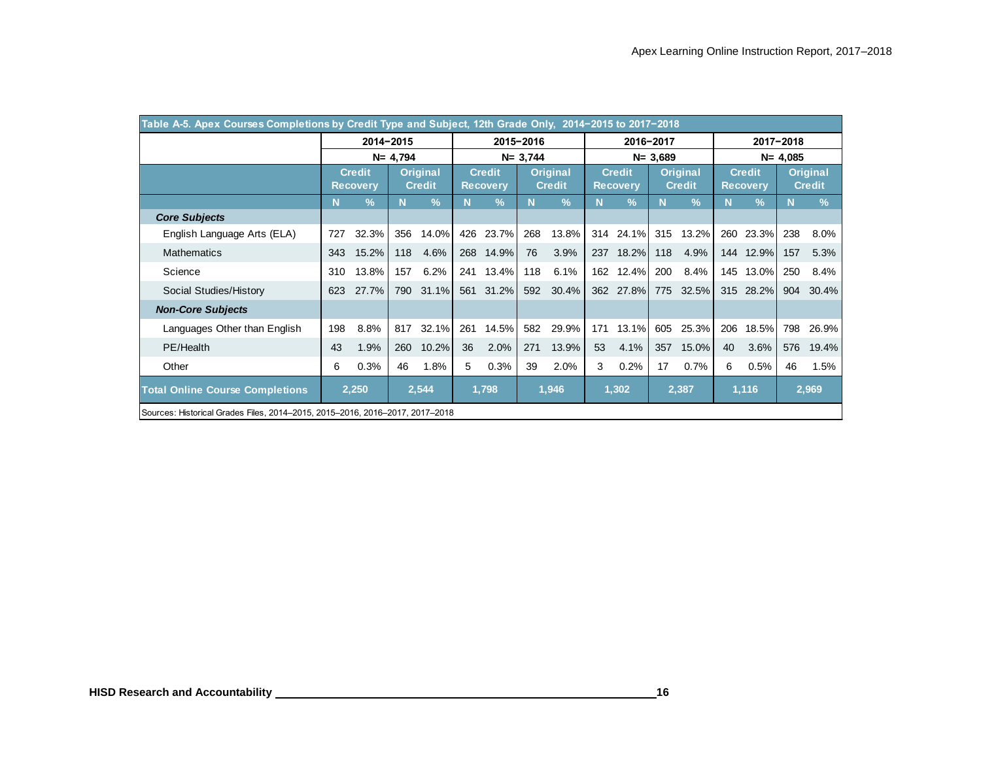|                                                                              |     | Table A-5. Apex Courses Completions by Credit Type and Subject, 12th Grade Only, 2014-2015 to 2017-2018 |                                  |               |     |                 |             |                           |     |                 |             |               |                 |               |               |               |
|------------------------------------------------------------------------------|-----|---------------------------------------------------------------------------------------------------------|----------------------------------|---------------|-----|-----------------|-------------|---------------------------|-----|-----------------|-------------|---------------|-----------------|---------------|---------------|---------------|
|                                                                              |     | 2014-2015                                                                                               |                                  |               |     |                 | 2015-2016   |                           |     |                 | 2016-2017   |               |                 |               | 2017-2018     |               |
|                                                                              |     |                                                                                                         | $N = 4,794$                      |               |     |                 | $N = 3,744$ |                           |     |                 | $N = 3,689$ |               | $N = 4,085$     |               |               |               |
|                                                                              |     | <b>Credit</b>                                                                                           | <b>Original</b><br><b>Credit</b> |               |     | <b>Credit</b>   |             | Original<br><b>Credit</b> |     | <b>Credit</b>   |             | Original      | <b>Credit</b>   |               | Original      |               |
|                                                                              |     | <b>Recovery</b>                                                                                         |                                  |               |     | <b>Recovery</b> |             |                           |     | <b>Recovery</b> |             | <b>Credit</b> | <b>Recovery</b> |               | <b>Credit</b> |               |
|                                                                              | N   | $\frac{9}{6}$                                                                                           | N                                | $\frac{9}{6}$ | N   | $\frac{9}{6}$   | N.          | $\frac{0}{2}$             | N   | $\frac{9}{6}$   | N           | $\frac{9}{6}$ | N               | $\frac{9}{6}$ | N             | $\frac{9}{6}$ |
| <b>Core Subjects</b>                                                         |     |                                                                                                         |                                  |               |     |                 |             |                           |     |                 |             |               |                 |               |               |               |
| English Language Arts (ELA)                                                  | 727 | 32.3%                                                                                                   | 356                              | 14.0%         | 426 | 23.7%           | 268         | 13.8%                     | 314 | 24.1%           | 315         | 13.2%         | 260             | 23.3%         | 238           | 8.0%          |
| <b>Mathematics</b>                                                           | 343 | 15.2%                                                                                                   | 118                              | 4.6%          |     | 268 14.9%       | 76          | 3.9%                      |     | 237 18.2%       | 118         | 4.9%          |                 | 144 12.9%     | 157           | 5.3%          |
| Science                                                                      | 310 | 13.8%                                                                                                   | 157                              | 6.2%          | 241 | 13.4%           | 118         | 6.1%                      | 162 | 12.4%           | 200         | 8.4%          | 145             | 13.0%         | 250           | 8.4%          |
| Social Studies/History                                                       | 623 | 27.7%                                                                                                   | 790                              | 31.1%         | 561 | 31.2%           | 592         | 30.4%                     | 362 | 27.8%           | 775         | 32.5%         |                 | 315 28.2%     | 904           | 30.4%         |
| <b>Non-Core Subjects</b>                                                     |     |                                                                                                         |                                  |               |     |                 |             |                           |     |                 |             |               |                 |               |               |               |
| Languages Other than English                                                 | 198 | 8.8%                                                                                                    | 817                              | 32.1%         | 261 | 14.5%           | 582         | 29.9%                     | 171 | 13.1%           | 605         | 25.3%         | 206             | 18.5%         | 798           | 26.9%         |
| PE/Health                                                                    | 43  | 1.9%                                                                                                    | 260                              | 10.2%         | 36  | 2.0%            | 271         | 13.9%                     | 53  | 4.1%            | 357         | 15.0%         | 40              | 3.6%          | 576           | 19.4%         |
| Other                                                                        | 6   | 0.3%                                                                                                    | 46                               | 1.8%          | 5   | 0.3%            | 39          | 2.0%                      | 3   | 0.2%            | 17          | 0.7%          | 6               | 0.5%          | 46            | 1.5%          |
| <b>Total Online Course Completions</b>                                       |     | 2,250                                                                                                   |                                  | 2,544         |     | 1,798           |             | 1,946                     |     | 1,302           |             | 2,387         |                 | 1,116         |               | 2,969         |
| Sources: Historical Grades Files, 2014–2015, 2015–2016, 2016–2017, 2017–2018 |     |                                                                                                         |                                  |               |     |                 |             |                           |     |                 |             |               |                 |               |               |               |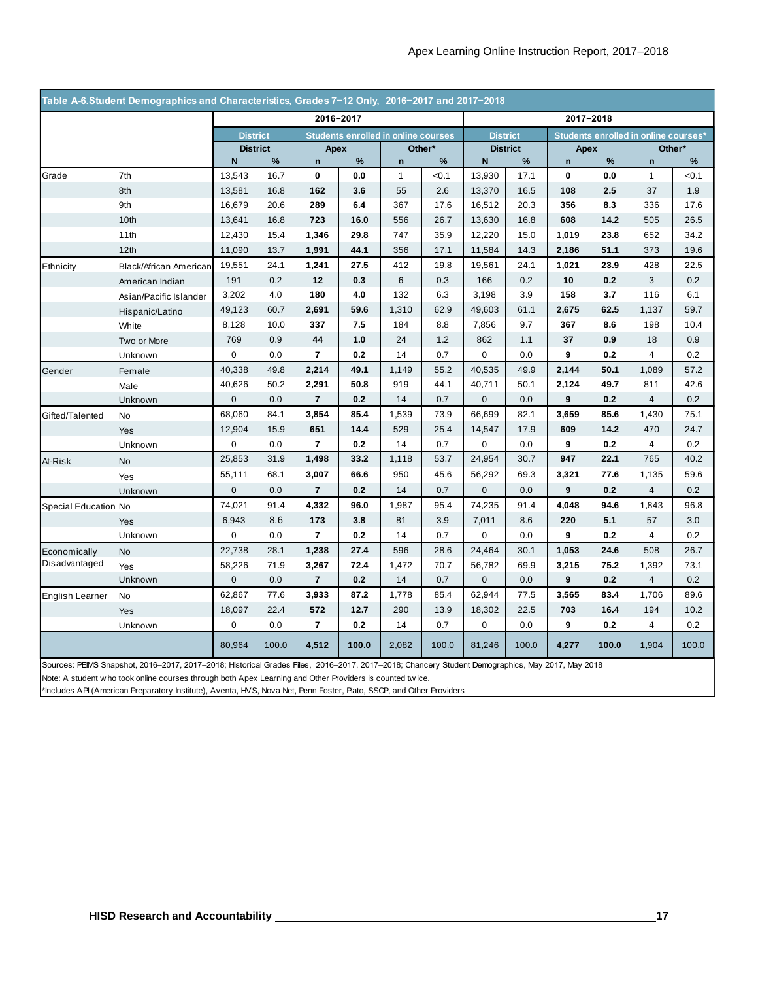|                      |                                                                                                                                                                                                                                                                                                                                                                                      |                 |                 | 2016-2017      |       |                                            |        |                 |                 |             | 2017-2018 |                                      |        |
|----------------------|--------------------------------------------------------------------------------------------------------------------------------------------------------------------------------------------------------------------------------------------------------------------------------------------------------------------------------------------------------------------------------------|-----------------|-----------------|----------------|-------|--------------------------------------------|--------|-----------------|-----------------|-------------|-----------|--------------------------------------|--------|
|                      |                                                                                                                                                                                                                                                                                                                                                                                      | <b>District</b> |                 |                |       | <b>Students enrolled in online courses</b> |        | <b>District</b> |                 |             |           | Students enrolled in online courses* |        |
|                      |                                                                                                                                                                                                                                                                                                                                                                                      |                 | <b>District</b> | Apex           |       |                                            | Other* |                 | <b>District</b> | Apex        |           |                                      | Other* |
|                      |                                                                                                                                                                                                                                                                                                                                                                                      | N               | $\%$            | $\mathsf{n}$   | $\%$  | $\mathbf n$                                | $\%$   | ${\sf N}$       | $\%$            | $\mathsf n$ | $\%$      | $\mathsf{n}$                         | $\%$   |
| Grade                | 7th                                                                                                                                                                                                                                                                                                                                                                                  | 13,543          | 16.7            | 0              | 0.0   | $\mathbf{1}$                               | < 0.1  | 13,930          | 17.1            | $\mathbf 0$ | 0.0       | $\mathbf{1}$                         | < 0.1  |
|                      | 8th                                                                                                                                                                                                                                                                                                                                                                                  | 13,581          | 16.8            | 162            | 3.6   | 55                                         | 2.6    | 13,370          | 16.5            | 108         | 2.5       | 37                                   | 1.9    |
|                      | 9th                                                                                                                                                                                                                                                                                                                                                                                  | 16,679          | 20.6            | 289            | 6.4   | 367                                        | 17.6   | 16,512          | 20.3            | 356         | 8.3       | 336                                  | 17.6   |
|                      | 10th                                                                                                                                                                                                                                                                                                                                                                                 | 13,641          | 16.8            | 723            | 16.0  | 556                                        | 26.7   | 13,630          | 16.8            | 608         | 14.2      | 505                                  | 26.5   |
|                      | 11th                                                                                                                                                                                                                                                                                                                                                                                 | 12,430          | 15.4            | 1,346          | 29.8  | 747                                        | 35.9   | 12,220          | 15.0            | 1,019       | 23.8      | 652                                  | 34.2   |
|                      | 12th                                                                                                                                                                                                                                                                                                                                                                                 | 11,090          | 13.7            | 1,991          | 44.1  | 356                                        | 17.1   | 11,584          | 14.3            | 2,186       | 51.1      | 373                                  | 19.6   |
| Ethnicity            | Black/African American                                                                                                                                                                                                                                                                                                                                                               | 19,551          | 24.1            | 1,241          | 27.5  | 412                                        | 19.8   | 19,561          | 24.1            | 1,021       | 23.9      | 428                                  | 22.5   |
|                      | American Indian                                                                                                                                                                                                                                                                                                                                                                      | 191             | 0.2             | 12             | 0.3   | 6                                          | 0.3    | 166             | 0.2             | 10          | 0.2       | 3                                    | 0.2    |
|                      | Asian/Pacific Islander                                                                                                                                                                                                                                                                                                                                                               | 3,202           | 4.0             | 180            | 4.0   | 132                                        | 6.3    | 3,198           | 3.9             | 158         | 3.7       | 116                                  | 6.1    |
|                      | Hispanic/Latino                                                                                                                                                                                                                                                                                                                                                                      | 49,123          | 60.7            | 2,691          | 59.6  | 1,310                                      | 62.9   | 49,603          | 61.1            | 2,675       | 62.5      | 1,137                                | 59.7   |
|                      | White                                                                                                                                                                                                                                                                                                                                                                                | 8,128           | 10.0            | 337            | 7.5   | 184                                        | 8.8    | 7,856           | 9.7             | 367         | 8.6       | 198                                  | 10.4   |
|                      | Two or More                                                                                                                                                                                                                                                                                                                                                                          | 769             | 0.9             | 44             | 1.0   | 24                                         | 1.2    | 862             | 1.1             | 37          | 0.9       | 18                                   | 0.9    |
|                      | Unknown                                                                                                                                                                                                                                                                                                                                                                              | $\pmb{0}$       | 0.0             | $\overline{7}$ | 0.2   | 14                                         | 0.7    | $\pmb{0}$       | 0.0             | 9           | 0.2       | 4                                    | 0.2    |
| Gender               | Female                                                                                                                                                                                                                                                                                                                                                                               | 40,338          | 49.8            | 2,214          | 49.1  | 1,149                                      | 55.2   | 40,535          | 49.9            | 2,144       | 50.1      | 1,089                                | 57.2   |
|                      | Male                                                                                                                                                                                                                                                                                                                                                                                 | 40,626          | 50.2            | 2,291          | 50.8  | 919                                        | 44.1   | 40,711          | 50.1            | 2,124       | 49.7      | 811                                  | 42.6   |
|                      | Unknown                                                                                                                                                                                                                                                                                                                                                                              | $\mathbf 0$     | 0.0             | $\overline{7}$ | 0.2   | 14                                         | 0.7    | $\mathbf{0}$    | 0.0             | 9           | 0.2       | $\overline{4}$                       | 0.2    |
| Gifted/Talented      | No                                                                                                                                                                                                                                                                                                                                                                                   | 68,060          | 84.1            | 3,854          | 85.4  | 1,539                                      | 73.9   | 66,699          | 82.1            | 3,659       | 85.6      | 1,430                                | 75.1   |
|                      | Yes                                                                                                                                                                                                                                                                                                                                                                                  | 12,904          | 15.9            | 651            | 14.4  | 529                                        | 25.4   | 14,547          | 17.9            | 609         | 14.2      | 470                                  | 24.7   |
|                      | Unknown                                                                                                                                                                                                                                                                                                                                                                              | 0               | 0.0             | $\overline{7}$ | 0.2   | 14                                         | 0.7    | 0               | 0.0             | 9           | 0.2       | $\overline{4}$                       | 0.2    |
| At-Risk              | <b>No</b>                                                                                                                                                                                                                                                                                                                                                                            | 25,853          | 31.9            | 1,498          | 33.2  | 1,118                                      | 53.7   | 24,954          | 30.7            | 947         | 22.1      | 765                                  | 40.2   |
|                      | Yes                                                                                                                                                                                                                                                                                                                                                                                  | 55,111          | 68.1            | 3,007          | 66.6  | 950                                        | 45.6   | 56,292          | 69.3            | 3,321       | 77.6      | 1,135                                | 59.6   |
|                      | Unknown                                                                                                                                                                                                                                                                                                                                                                              | $\mathbf 0$     | 0.0             | $\overline{7}$ | 0.2   | 14                                         | 0.7    | $\mathbf{0}$    | 0.0             | 9           | 0.2       | $\overline{4}$                       | 0.2    |
| Special Education No |                                                                                                                                                                                                                                                                                                                                                                                      | 74,021          | 91.4            | 4,332          | 96.0  | 1,987                                      | 95.4   | 74,235          | 91.4            | 4,048       | 94.6      | 1,843                                | 96.8   |
|                      | Yes                                                                                                                                                                                                                                                                                                                                                                                  | 6,943           | 8.6             | 173            | 3.8   | 81                                         | 3.9    | 7,011           | 8.6             | 220         | 5.1       | 57                                   | 3.0    |
|                      | Unknown                                                                                                                                                                                                                                                                                                                                                                              | 0               | 0.0             | $\overline{7}$ | 0.2   | 14                                         | 0.7    | $\mathbf 0$     | 0.0             | 9           | 0.2       | $\overline{4}$                       | 0.2    |
| Economically         | No                                                                                                                                                                                                                                                                                                                                                                                   | 22,738          | 28.1            | 1,238          | 27.4  | 596                                        | 28.6   | 24,464          | 30.1            | 1,053       | 24.6      | 508                                  | 26.7   |
| Disadvantaged        | Yes                                                                                                                                                                                                                                                                                                                                                                                  | 58,226          | 71.9            | 3,267          | 72.4  | 1,472                                      | 70.7   | 56,782          | 69.9            | 3,215       | 75.2      | 1,392                                | 73.1   |
|                      | Unknown                                                                                                                                                                                                                                                                                                                                                                              | $\mathbf 0$     | 0.0             | $\overline{7}$ | 0.2   | 14                                         | 0.7    | $\mathbf 0$     | 0.0             | 9           | 0.2       | $\overline{4}$                       | 0.2    |
| English Learner      | <b>No</b>                                                                                                                                                                                                                                                                                                                                                                            | 62,867          | 77.6            | 3,933          | 87.2  | 1,778                                      | 85.4   | 62,944          | 77.5            | 3,565       | 83.4      | 1,706                                | 89.6   |
|                      | Yes                                                                                                                                                                                                                                                                                                                                                                                  | 18,097          | 22.4            | 572            | 12.7  | 290                                        | 13.9   | 18,302          | 22.5            | 703         | 16.4      | 194                                  | 10.2   |
|                      | Unknown                                                                                                                                                                                                                                                                                                                                                                              | 0               | 0.0             | $\overline{7}$ | 0.2   | 14                                         | 0.7    | $\pmb{0}$       | 0.0             | 9           | 0.2       | 4                                    | 0.2    |
|                      |                                                                                                                                                                                                                                                                                                                                                                                      | 80,964          | 100.0           | 4,512          | 100.0 | 2,082                                      | 100.0  | 81,246          | 100.0           | 4,277       | 100.0     | 1,904                                | 100.0  |
|                      | Sources: PEIMS Snapshot, 2016-2017, 2017-2018; Historical Grades Files, 2016-2017, 2017-2018; Chancery Student Demographics, May 2017, May 2018<br>Note: A student w ho took online courses through both Apex Learning and Other Providers is counted twice.<br>*Includes API (American Preparatory Institute), Aventa, HVS, Nova Net, Penn Foster, Plato, SSCP, and Other Providers |                 |                 |                |       |                                            |        |                 |                 |             |           |                                      |        |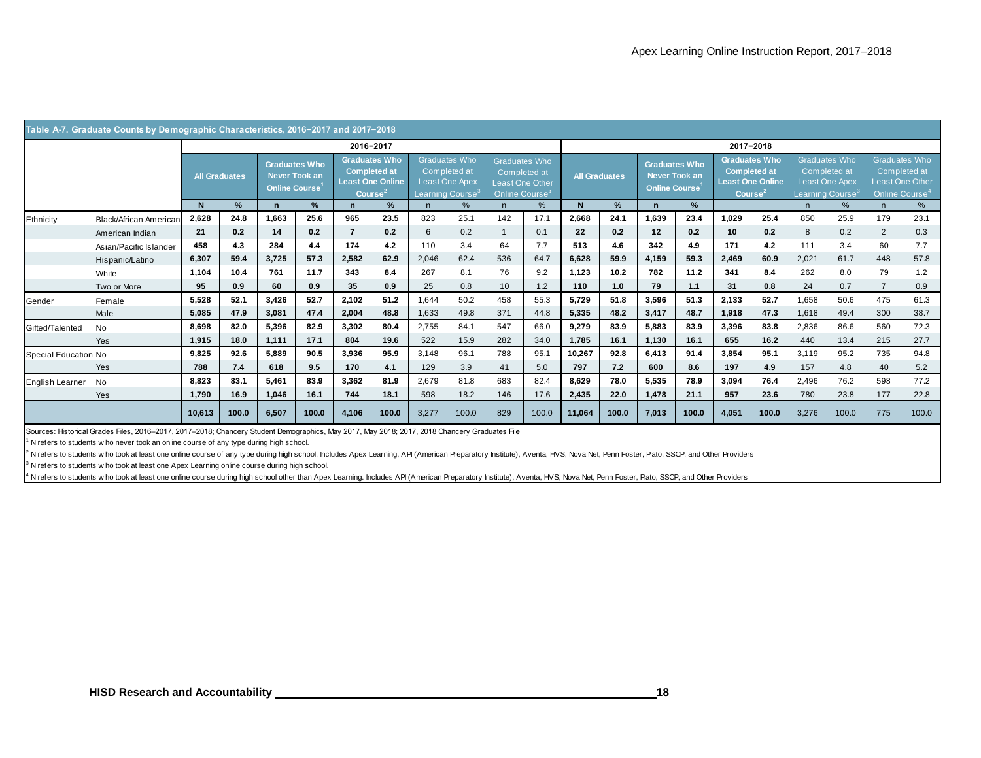|                                               | Table A-7. Graduate Counts by Demographic Characteristics, 2016-2017 and 2017-2018                                                                                                                                                                                                                                                                                                                                                                                                                                                                                                 |                      |       |                                                                     |       |                                                              |                      |                              |                                                        |              |                                                                                       |              |                      |                            |                                       |       |                                                                                      |                              |                                                        |                |                                                                                       |
|-----------------------------------------------|------------------------------------------------------------------------------------------------------------------------------------------------------------------------------------------------------------------------------------------------------------------------------------------------------------------------------------------------------------------------------------------------------------------------------------------------------------------------------------------------------------------------------------------------------------------------------------|----------------------|-------|---------------------------------------------------------------------|-------|--------------------------------------------------------------|----------------------|------------------------------|--------------------------------------------------------|--------------|---------------------------------------------------------------------------------------|--------------|----------------------|----------------------------|---------------------------------------|-------|--------------------------------------------------------------------------------------|------------------------------|--------------------------------------------------------|----------------|---------------------------------------------------------------------------------------|
|                                               |                                                                                                                                                                                                                                                                                                                                                                                                                                                                                                                                                                                    |                      |       |                                                                     |       | 2016-2017                                                    |                      |                              |                                                        |              |                                                                                       | 2017-2018    |                      |                            |                                       |       |                                                                                      |                              |                                                        |                |                                                                                       |
|                                               |                                                                                                                                                                                                                                                                                                                                                                                                                                                                                                                                                                                    | <b>All Graduates</b> |       | <b>Graduates Who</b><br>Never Took an<br>Online Course <sup>1</sup> |       | <b>Completed at</b><br><b>Least One Online</b><br>Course $2$ | <b>Graduates Who</b> | Learning Course <sup>3</sup> | <b>Graduates Who</b><br>Completed at<br>Least One Apex |              | <b>Graduates Who</b><br>Completed at<br>Least One Other<br>Online Course <sup>4</sup> |              | <b>All Graduates</b> | Online Course <sup>1</sup> | <b>Graduates Who</b><br>Never Took an |       | <b>Graduates Who</b><br><b>Completed at</b><br><b>Least One Online</b><br>Course $2$ | Learning Course <sup>3</sup> | <b>Graduates Who</b><br>Completed at<br>Least One Apex |                | <b>Graduates Who</b><br>Completed at<br>Least One Other<br>Online Course <sup>4</sup> |
|                                               |                                                                                                                                                                                                                                                                                                                                                                                                                                                                                                                                                                                    | $\mathsf{N}$         | %     | $\mathbf n$                                                         | %     | $\mathbf n$                                                  | %                    | n                            | %                                                      | n            | %                                                                                     | $\mathsf{N}$ | %                    | $\mathbf n$                | %                                     |       |                                                                                      | n                            | %                                                      | n              | %                                                                                     |
| Ethnicity                                     | Black/African American                                                                                                                                                                                                                                                                                                                                                                                                                                                                                                                                                             | 2,628                | 24.8  | 1,663                                                               | 25.6  | 965                                                          | 23.5                 | 823                          | 25.1                                                   | 142          | 17.1                                                                                  | 2,668        | 24.1                 | 1,639                      | 23.4                                  | 1,029 | 25.4                                                                                 | 850                          | 25.9                                                   | 179            | 23.1                                                                                  |
|                                               | American Indian                                                                                                                                                                                                                                                                                                                                                                                                                                                                                                                                                                    | 21                   | 0.2   | 14                                                                  | 0.2   | $\overline{7}$                                               | 0.2                  | 6                            | 0.2                                                    | $\mathbf{1}$ | 0.1                                                                                   | 22           | 0.2                  | 12                         | 0.2                                   | 10    | 0.2                                                                                  | 8                            | 0.2                                                    | $\overline{2}$ | 0.3                                                                                   |
|                                               | Asian/Pacific Islander                                                                                                                                                                                                                                                                                                                                                                                                                                                                                                                                                             | 458                  | 4.3   | 284                                                                 | 4.4   | 174                                                          | 4.2                  | 110                          | 3.4                                                    | 64           | 7.7                                                                                   | 513          | 4.6                  | 342                        | 4.9                                   | 171   | 4.2                                                                                  | 111                          | 3.4                                                    | 60             | 7.7                                                                                   |
|                                               | Hispanic/Latino                                                                                                                                                                                                                                                                                                                                                                                                                                                                                                                                                                    | 6,307                | 59.4  | 3,725                                                               | 57.3  | 2,582                                                        | 62.9                 | 2,046                        | 62.4                                                   | 536          | 64.7                                                                                  | 6,628        | 59.9                 | 4,159                      | 59.3                                  | 2,469 | 60.9                                                                                 | 2,021                        | 61.7                                                   | 448            | 57.8                                                                                  |
|                                               | White                                                                                                                                                                                                                                                                                                                                                                                                                                                                                                                                                                              | 1,104                | 10.4  | 761                                                                 | 11.7  | 343                                                          | 8.4                  | 267                          | 8.1                                                    | 76           | 9.2                                                                                   | 1,123        | 10.2                 | 782                        | 11.2                                  | 341   | 8.4                                                                                  | 262                          | 8.0                                                    | 79             | 1.2                                                                                   |
|                                               | Two or More                                                                                                                                                                                                                                                                                                                                                                                                                                                                                                                                                                        | 95                   | 0.9   | 60                                                                  | 0.9   | 35                                                           | 0.9                  | 25                           | 0.8                                                    | 10           | 1.2                                                                                   | 110          | 1.0                  | 79                         | 1.1                                   | 31    | 0.8                                                                                  | 24                           | 0.7                                                    | $\overline{7}$ | 0.9                                                                                   |
| Gender                                        | Female                                                                                                                                                                                                                                                                                                                                                                                                                                                                                                                                                                             | 5,528                | 52.1  | 3,426                                                               | 52.7  | 2,102                                                        | 51.2                 | 1,644                        | 50.2                                                   | 458          | 55.3                                                                                  | 5,729        | 51.8                 | 3,596                      | 51.3                                  | 2,133 | 52.7                                                                                 | 1,658                        | 50.6                                                   | 475            | 61.3                                                                                  |
|                                               | Male                                                                                                                                                                                                                                                                                                                                                                                                                                                                                                                                                                               | 5,085                | 47.9  | 3,081                                                               | 47.4  | 2,004                                                        | 48.8                 | 1,633                        | 49.8                                                   | 371          | 44.8                                                                                  | 5,335        | 48.2                 | 3,417                      | 48.7                                  | 1,918 | 47.3                                                                                 | 1,618                        | 49.4                                                   | 300            | 38.7                                                                                  |
| Gifted/Talented                               | No                                                                                                                                                                                                                                                                                                                                                                                                                                                                                                                                                                                 | 8,698                | 82.0  | 5,396                                                               | 82.9  | 3,302                                                        | 80.4                 | 2,755                        | 84.1                                                   | 547          | 66.0                                                                                  | 9,279        | 83.9                 | 5,883                      | 83.9                                  | 3,396 | 83.8                                                                                 | 2,836                        | 86.6                                                   | 560            | 72.3                                                                                  |
|                                               | Yes                                                                                                                                                                                                                                                                                                                                                                                                                                                                                                                                                                                | 1,915                | 18.0  | 1,111                                                               | 17.1  | 804                                                          | 19.6                 | 522                          | 15.9                                                   | 282          | 34.0                                                                                  | 1,785        | 16.1                 | 1,130                      | 16.1                                  | 655   | 16.2                                                                                 | 440                          | 13.4                                                   | 215            | 27.7                                                                                  |
| Special Education No                          |                                                                                                                                                                                                                                                                                                                                                                                                                                                                                                                                                                                    | 9,825                | 92.6  | 5,889                                                               | 90.5  | 3,936                                                        | 95.9                 | 3,148                        | 96.1                                                   | 788          | 95.1                                                                                  | 10,267       | 92.8                 | 6,413                      | 91.4                                  | 3,854 | 95.1                                                                                 | 3,119                        | 95.2                                                   | 735            | 94.8                                                                                  |
|                                               | Yes                                                                                                                                                                                                                                                                                                                                                                                                                                                                                                                                                                                | 788                  | $7.4$ | 618                                                                 | 9.5   | 170                                                          | 4.1                  | 129                          | 3.9                                                    | 41           | 5.0                                                                                   | 797          | 7.2                  | 600                        | 8.6                                   | 197   | 4.9                                                                                  | 157                          | 4.8                                                    | 40             | 5.2                                                                                   |
| English Learner                               | No                                                                                                                                                                                                                                                                                                                                                                                                                                                                                                                                                                                 | 8,823                | 83.1  | 5,461                                                               | 83.9  | 3,362                                                        | 81.9                 | 2,679                        | 81.8                                                   | 683          | 82.4                                                                                  | 8,629        | 78.0                 | 5,535                      | 78.9                                  | 3,094 | 76.4                                                                                 | 2,496                        | 76.2                                                   | 598            | 77.2                                                                                  |
|                                               | Yes                                                                                                                                                                                                                                                                                                                                                                                                                                                                                                                                                                                | 1,790                | 16.9  | 1,046                                                               | 16.1  | 744                                                          | 18.1                 | 598                          | 18.2                                                   | 146          | 17.6                                                                                  | 2,435        | 22.0                 | 1,478                      | 21.1                                  | 957   | 23.6                                                                                 | 780                          | 23.8                                                   | 177            | 22.8                                                                                  |
|                                               |                                                                                                                                                                                                                                                                                                                                                                                                                                                                                                                                                                                    | 10,613               | 100.0 | 6,507                                                               | 100.0 | 4,106                                                        | 100.0                | 3,277                        | 100.0                                                  | 829          | 100.0                                                                                 | 11,064       | 100.0                | 7,013                      | 100.0                                 | 4,051 | 100.0                                                                                | 3,276                        | 100.0                                                  | 775            | 100.0                                                                                 |
|                                               | Sources: Historical Grades Files, 2016-2017, 2017-2018; Chancery Student Demographics, May 2017, May 2018; 2017, 2018 Chancery Graduates File<br>N refers to students w ho never took an online course of any type during high school.<br>N refers to students w ho took at least one online course of any type during high school. Includes Apex Learning, API (American Preparatory Institute), Aventa, HVS, Nova Net, Penn Foster, Plato, SSCP, and Other Providers<br><sup>3</sup> N refers to students w ho took at least one Apex Learning online course during high school. |                      |       |                                                                     |       |                                                              |                      |                              |                                                        |              |                                                                                       |              |                      |                            |                                       |       |                                                                                      |                              |                                                        |                |                                                                                       |
|                                               | <sup>4</sup> N refers to students w ho took at least one online course during high school other than Apex Learning. Includes API (American Preparatory Institute), Aventa, HVS, Nova Net, Penn Foster, Plato, SSCP, and Other Providers                                                                                                                                                                                                                                                                                                                                            |                      |       |                                                                     |       |                                                              |                      |                              |                                                        |              |                                                                                       |              |                      |                            |                                       |       |                                                                                      |                              |                                                        |                |                                                                                       |
| <b>HISD Research and Accountability</b><br>18 |                                                                                                                                                                                                                                                                                                                                                                                                                                                                                                                                                                                    |                      |       |                                                                     |       |                                                              |                      |                              |                                                        |              |                                                                                       |              |                      |                            |                                       |       |                                                                                      |                              |                                                        |                |                                                                                       |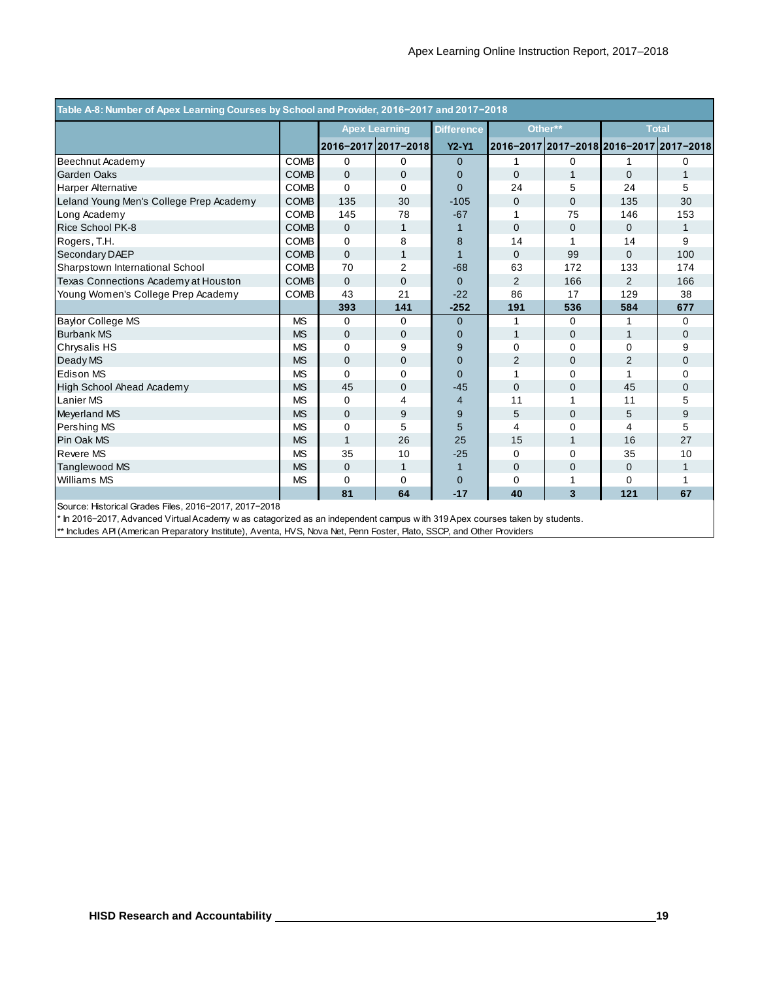| Table A-8: Number of Apex Learning Courses by School and Provider, 2016-2017 and 2017-2018 |             |              |                      |                   |                                         |              |                |                |
|--------------------------------------------------------------------------------------------|-------------|--------------|----------------------|-------------------|-----------------------------------------|--------------|----------------|----------------|
|                                                                                            |             |              | <b>Apex Learning</b> | <b>Difference</b> |                                         | Other**      |                | <b>Total</b>   |
|                                                                                            |             |              | 2016-2017 2017-2018  | <b>Y2-Y1</b>      | 2016-2017 2017-2018 2016-2017 2017-2018 |              |                |                |
| Beechnut Academy                                                                           | <b>COMB</b> | 0            | 0                    | $\Omega$          | 1                                       | $\Omega$     |                | 0              |
| <b>Garden Oaks</b>                                                                         | <b>COMB</b> | $\mathbf{0}$ | $\overline{0}$       | $\mathbf{0}$      | $\mathbf{0}$                            | 1            | 0              | $\mathbf{1}$   |
| <b>Harper Alternative</b>                                                                  | <b>COMB</b> | 0            | $\Omega$             | $\Omega$          | 24                                      | 5            | 24             | 5              |
| Leland Young Men's College Prep Academy                                                    | <b>COMB</b> | 135          | 30                   | $-105$            | $\Omega$                                | $\Omega$     | 135            | 30             |
| Long Academy                                                                               | <b>COMB</b> | 145          | 78                   | $-67$             | 1                                       | 75           | 146            | 153            |
| Rice School PK-8                                                                           | <b>COMB</b> | $\Omega$     | $\mathbf{1}$         |                   | $\mathbf 0$                             | $\mathbf 0$  | $\Omega$       | $\mathbf 1$    |
| Rogers, T.H.                                                                               | <b>COMB</b> | $\Omega$     | 8                    | 8                 | 14                                      |              | 14             | 9              |
| Secondary DAEP                                                                             | <b>COMB</b> | $\Omega$     | 1                    |                   | $\Omega$                                | 99           | $\Omega$       | 100            |
| Sharpstown International School                                                            | COMB        | 70           | $\overline{2}$       | $-68$             | 63                                      | 172          | 133            | 174            |
| Texas Connections Academy at Houston                                                       | <b>COMB</b> | $\Omega$     | $\overline{0}$       | $\Omega$          | 2                                       | 166          | $\overline{2}$ | 166            |
| Young Women's College Prep Academy                                                         | <b>COMB</b> | 43           | 21                   | $-22$             | 86                                      | 17           | 129            | 38             |
|                                                                                            |             | 393          | 141                  | $-252$            | 191                                     | 536          | 584            | 677            |
| <b>Baylor College MS</b>                                                                   | <b>MS</b>   | $\Omega$     | $\Omega$             | $\Omega$          | 1                                       | $\Omega$     |                | $\Omega$       |
| <b>Burbank MS</b>                                                                          | <b>MS</b>   | 0            | $\overline{0}$       | 0                 | $\mathbf{1}$                            | $\mathbf 0$  | 1              | $\overline{0}$ |
| Chrysalis HS                                                                               | <b>MS</b>   | 0            | 9                    | 9                 | $\mathbf 0$                             | 0            | 0              | 9              |
| Deady MS                                                                                   | <b>MS</b>   | $\Omega$     | $\Omega$             | $\Omega$          | $\overline{2}$                          | 0            | 2              | $\Omega$       |
| <b>Edison MS</b>                                                                           | <b>MS</b>   | $\Omega$     | $\Omega$             | $\Omega$          | 1                                       | 0            | 1              | $\mathbf 0$    |
| <b>High School Ahead Academy</b>                                                           | <b>MS</b>   | 45           | $\overline{0}$       | $-45$             | $\overline{0}$                          | 0            | 45             | $\Omega$       |
| Lanier MS                                                                                  | <b>MS</b>   | 0            | 4                    | 4                 | 11                                      |              | 11             | 5              |
| Meyerland MS                                                                               | <b>MS</b>   | 0            | 9                    | 9                 | 5                                       | 0            | 5              | 9              |
| Pershing MS                                                                                | <b>MS</b>   | 0            | 5                    | 5                 | 4                                       | $\Omega$     | 4              | 5              |
| Pin Oak MS                                                                                 | <b>MS</b>   | $\mathbf{1}$ | 26                   | 25                | 15                                      | $\mathbf{1}$ | 16             | 27             |
| Revere MS                                                                                  | <b>MS</b>   | 35           | 10                   | $-25$             | $\Omega$                                | 0            | 35             | 10             |
| <b>Tanglewood MS</b>                                                                       | <b>MS</b>   | 0            | $\mathbf{1}$         | 1                 | $\mathbf 0$                             | $\Omega$     | $\mathbf{0}$   | $\mathbf{1}$   |
| <b>Williams MS</b>                                                                         | <b>MS</b>   | 0            | $\mathbf 0$          | 0                 | $\mathbf 0$                             | 1            | 0              | 1              |
|                                                                                            |             | 81           | 64                   | $-17$             | 40                                      | 3            | 121            | 67             |
| Source: Historical Grades Files, 2016-2017, 2017-2018                                      |             |              |                      |                   |                                         |              |                |                |

\* In 2016−2017, Advanced Virtual Academy w as catagorized as an independent campus w ith 319 Apex courses taken by students.

\*\* Includes API (American Preparatory Institute), Aventa, HVS, Nova Net, Penn Foster, Plato, SSCP, and Other Providers